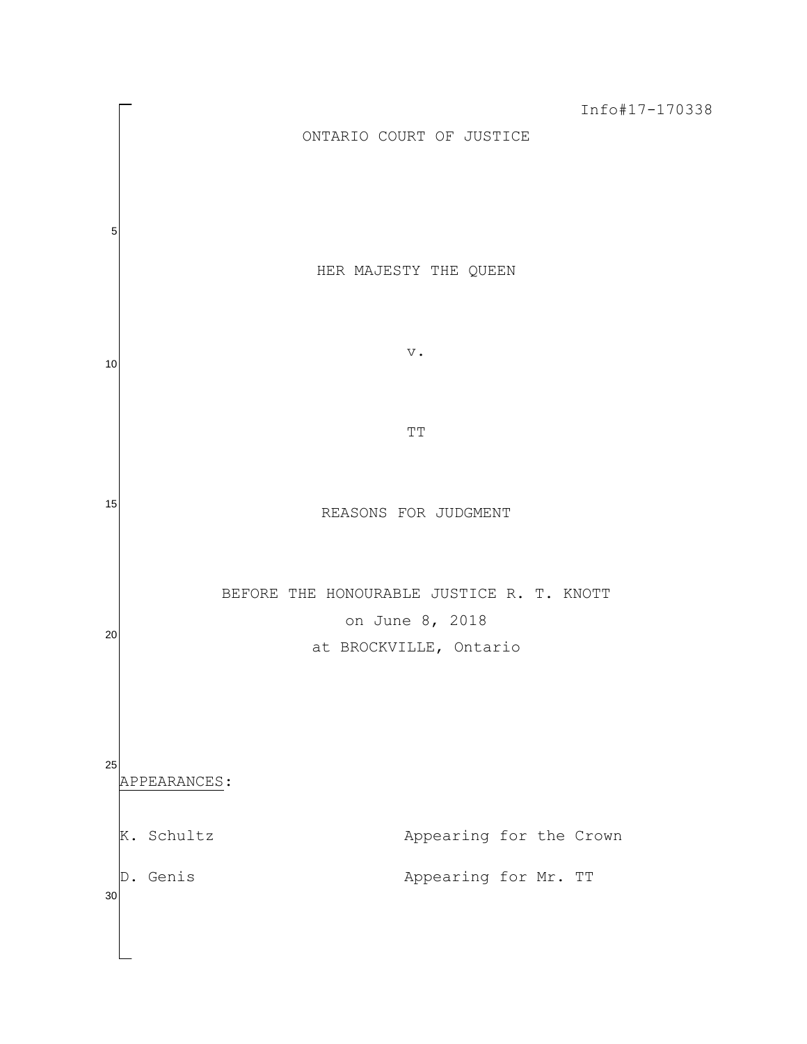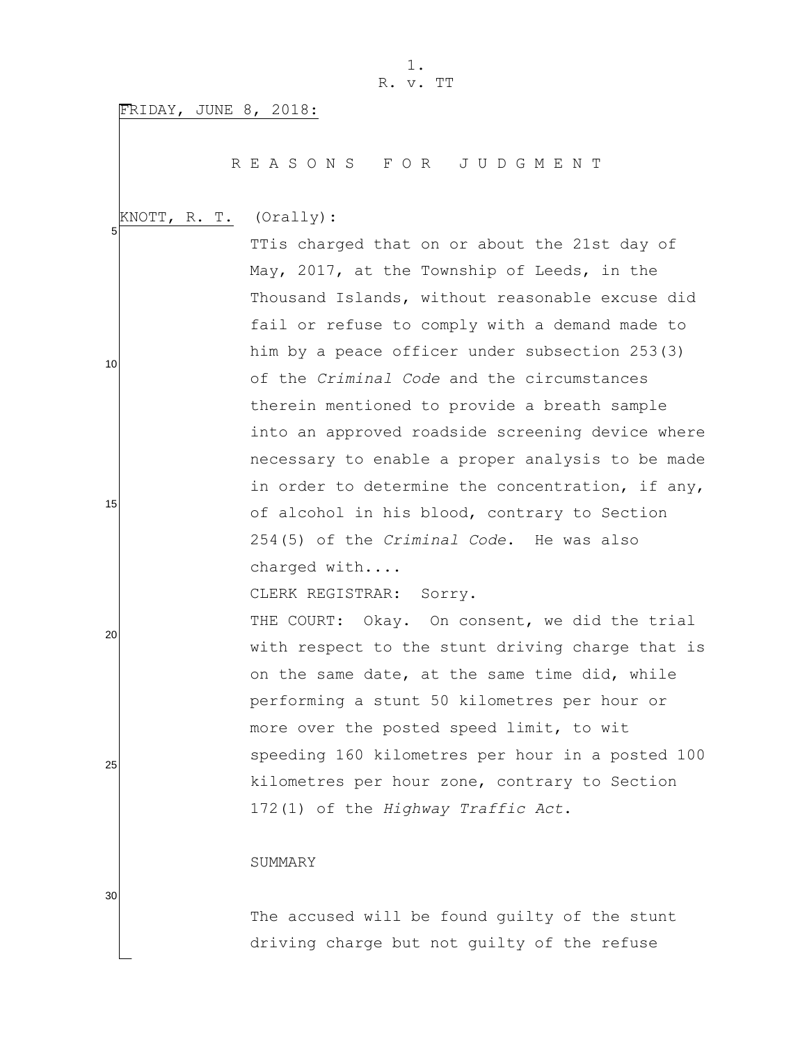FRIDAY, JUNE 8, 2018:

R E A S O N S F O R J U D G M E N T

 5 KNOTT, R. T. (Orally):

TTis charged that on or about the 21st day of May, 2017, at the Township of Leeds, in the Thousand Islands, without reasonable excuse did fail or refuse to comply with a demand made to him by a peace officer under subsection 253(3) of the *Criminal Code* and the circumstances therein mentioned to provide a breath sample into an approved roadside screening device where necessary to enable a proper analysis to be made in order to determine the concentration, if any, of alcohol in his blood, contrary to Section 254(5) of the *Criminal Code*. He was also charged with....

CLERK REGISTRAR: Sorry.

THE COURT: Okay. On consent, we did the trial with respect to the stunt driving charge that is on the same date, at the same time did, while performing a stunt 50 kilometres per hour or more over the posted speed limit, to wit speeding 160 kilometres per hour in a posted 100 kilometres per hour zone, contrary to Section 172(1) of the *Highway Traffic Act*.

#### SUMMARY

The accused will be found guilty of the stunt driving charge but not guilty of the refuse

30

10

15

20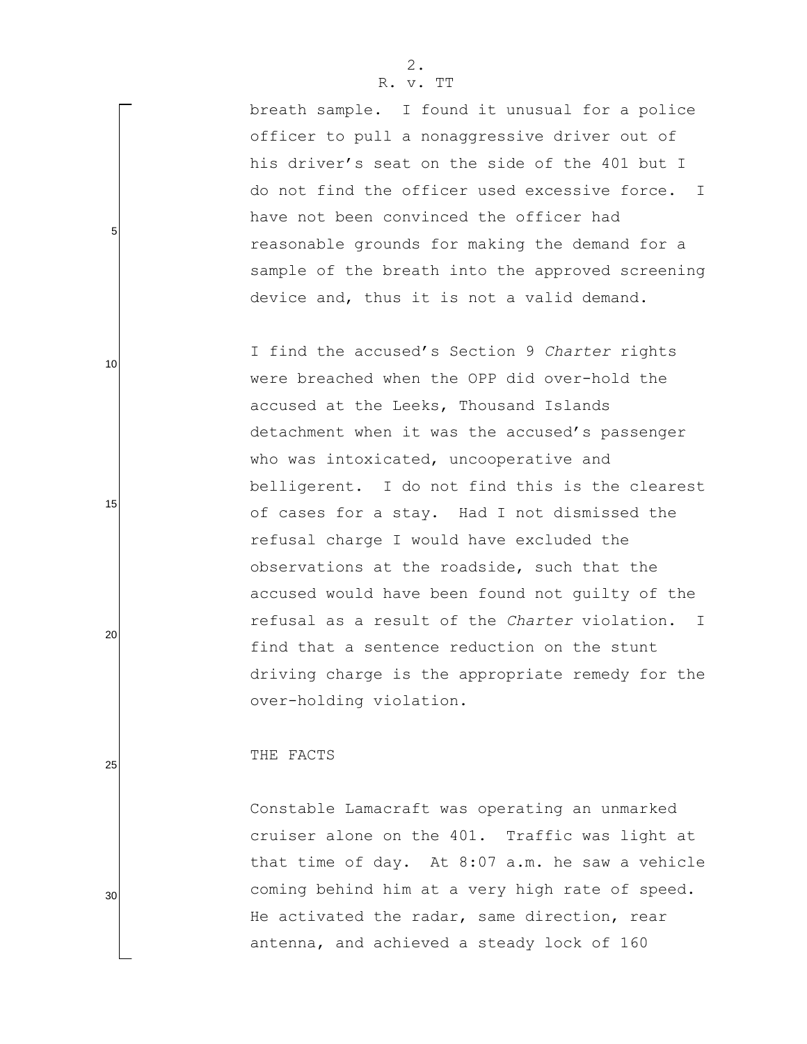breath sample. I found it unusual for a police officer to pull a nonaggressive driver out of his driver's seat on the side of the 401 but I do not find the officer used excessive force. I have not been convinced the officer had reasonable grounds for making the demand for a sample of the breath into the approved screening device and, thus it is not a valid demand.

I find the accused"s Section 9 *Charter* rights were breached when the OPP did over-hold the accused at the Leeks, Thousand Islands detachment when it was the accused's passenger who was intoxicated, uncooperative and belligerent. I do not find this is the clearest of cases for a stay. Had I not dismissed the refusal charge I would have excluded the observations at the roadside, such that the accused would have been found not guilty of the refusal as a result of the *Charter* violation. I find that a sentence reduction on the stunt driving charge is the appropriate remedy for the over-holding violation.

#### THE FACTS

Constable Lamacraft was operating an unmarked cruiser alone on the 401. Traffic was light at that time of day. At 8:07 a.m. he saw a vehicle coming behind him at a very high rate of speed. He activated the radar, same direction, rear antenna, and achieved a steady lock of 160

25

5

10

15

20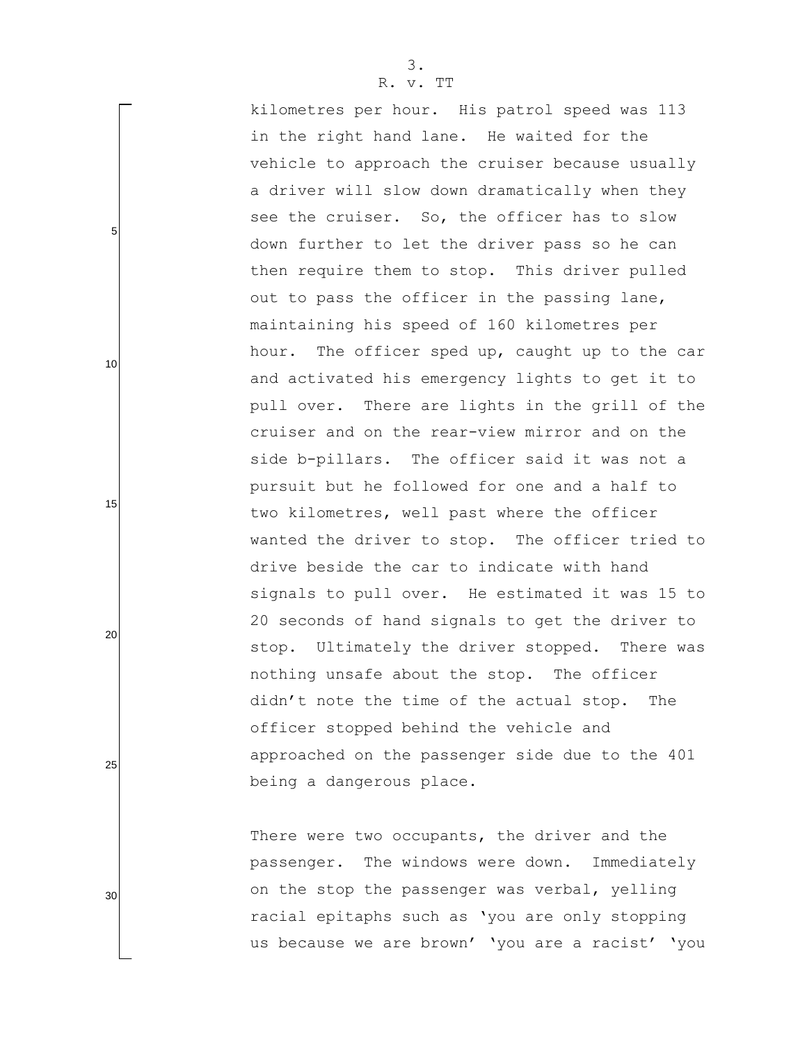kilometres per hour. His patrol speed was 113 in the right hand lane. He waited for the vehicle to approach the cruiser because usually a driver will slow down dramatically when they see the cruiser. So, the officer has to slow down further to let the driver pass so he can then require them to stop. This driver pulled out to pass the officer in the passing lane, maintaining his speed of 160 kilometres per hour. The officer sped up, caught up to the car and activated his emergency lights to get it to pull over. There are lights in the grill of the cruiser and on the rear-view mirror and on the side b-pillars. The officer said it was not a pursuit but he followed for one and a half to two kilometres, well past where the officer wanted the driver to stop. The officer tried to drive beside the car to indicate with hand signals to pull over. He estimated it was 15 to 20 seconds of hand signals to get the driver to stop. Ultimately the driver stopped. There was nothing unsafe about the stop. The officer didn"t note the time of the actual stop. The officer stopped behind the vehicle and approached on the passenger side due to the 401 being a dangerous place.

There were two occupants, the driver and the passenger. The windows were down. Immediately on the stop the passenger was verbal, yelling racial epitaphs such as "you are only stopping us because we are brown' 'you are a racist' 'you

5

10

20

15

25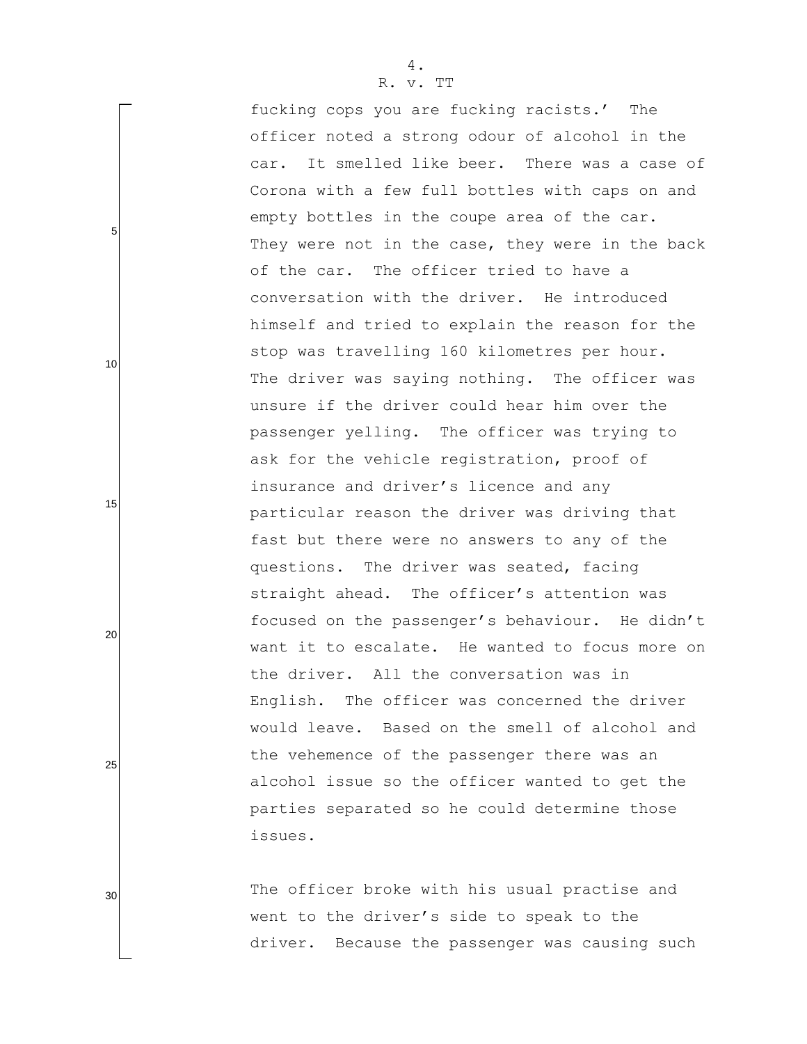fucking cops you are fucking racists.' The officer noted a strong odour of alcohol in the car. It smelled like beer. There was a case of Corona with a few full bottles with caps on and empty bottles in the coupe area of the car. They were not in the case, they were in the back of the car. The officer tried to have a conversation with the driver. He introduced himself and tried to explain the reason for the stop was travelling 160 kilometres per hour. The driver was saying nothing. The officer was unsure if the driver could hear him over the passenger yelling. The officer was trying to ask for the vehicle registration, proof of insurance and driver's licence and any particular reason the driver was driving that fast but there were no answers to any of the questions. The driver was seated, facing straight ahead. The officer's attention was focused on the passenger's behaviour. He didn't want it to escalate. He wanted to focus more on the driver. All the conversation was in English. The officer was concerned the driver would leave. Based on the smell of alcohol and the vehemence of the passenger there was an alcohol issue so the officer wanted to get the parties separated so he could determine those issues.

The officer broke with his usual practise and went to the driver"s side to speak to the driver. Because the passenger was causing such

5

10

15

20

30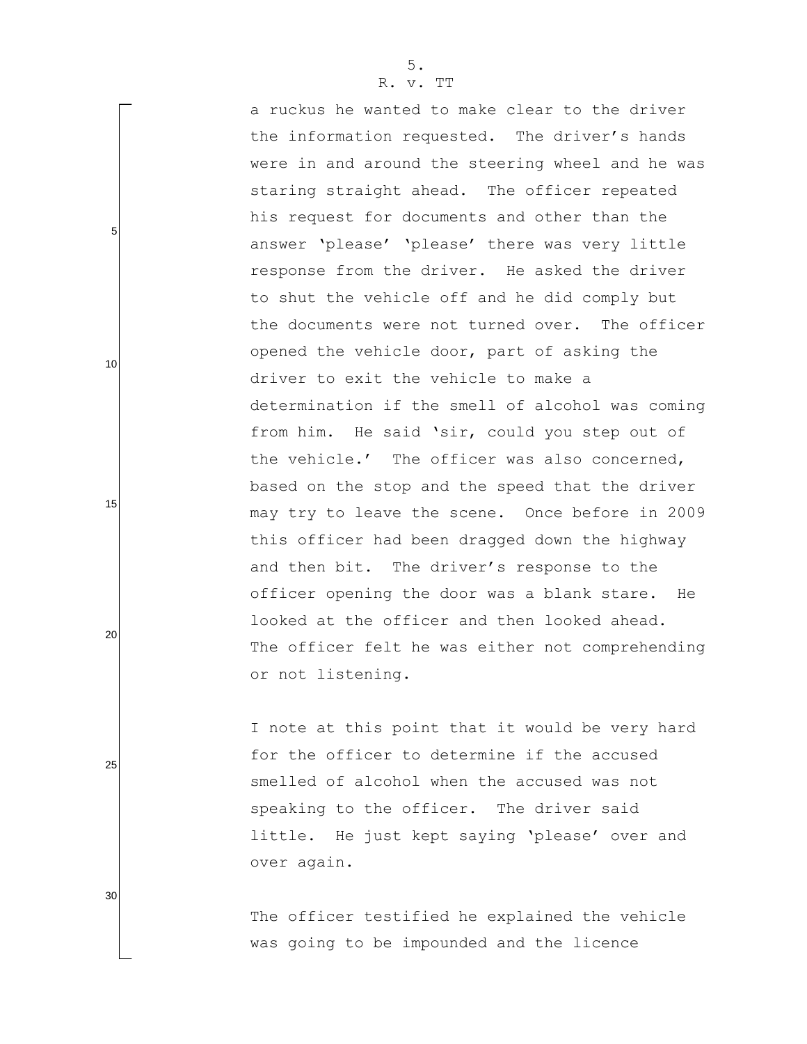| a ruckus he wanted to make clear to the driver   |
|--------------------------------------------------|
| the information requested. The driver's hands    |
| were in and around the steering wheel and he was |
| staring straight ahead. The officer repeated     |
| his request for documents and other than the     |
| answer 'please' 'please' there was very little   |
| response from the driver. He asked the driver    |
| to shut the vehicle off and he did comply but    |
| the documents were not turned over. The officer  |
| opened the vehicle door, part of asking the      |
| driver to exit the vehicle to make a             |
| determination if the smell of alcohol was coming |
| from him. He said 'sir, could you step out of    |
| the vehicle.' The officer was also concerned,    |
| based on the stop and the speed that the driver  |
| may try to leave the scene. Once before in 2009  |
| this officer had been dragged down the highway   |
| and then bit. The driver's response to the       |
| officer opening the door was a blank stare. He   |
| looked at the officer and then looked ahead.     |
| The officer felt he was either not comprehending |
| or not listening.                                |
|                                                  |

I note at this point that it would be very hard for the officer to determine if the accused smelled of alcohol when the accused was not speaking to the officer. The driver said little. He just kept saying 'please' over and over again.

The officer testified he explained the vehicle was going to be impounded and the licence

5. R. v. TT

5

10

15

20

25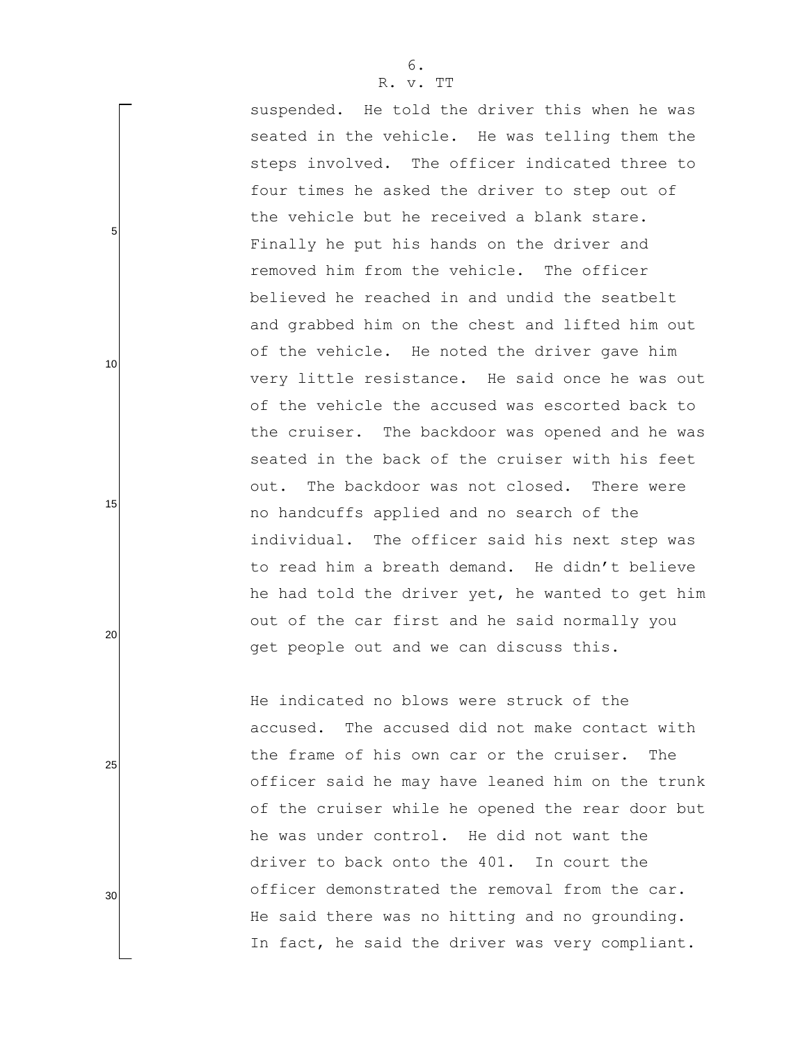suspended. He told the driver this when he was seated in the vehicle. He was telling them the steps involved. The officer indicated three to four times he asked the driver to step out of the vehicle but he received a blank stare. Finally he put his hands on the driver and removed him from the vehicle. The officer believed he reached in and undid the seatbelt and grabbed him on the chest and lifted him out of the vehicle. He noted the driver gave him very little resistance. He said once he was out of the vehicle the accused was escorted back to the cruiser. The backdoor was opened and he was seated in the back of the cruiser with his feet out. The backdoor was not closed. There were no handcuffs applied and no search of the individual. The officer said his next step was to read him a breath demand. He didn"t believe he had told the driver yet, he wanted to get him out of the car first and he said normally you get people out and we can discuss this.

He indicated no blows were struck of the accused. The accused did not make contact with the frame of his own car or the cruiser. The officer said he may have leaned him on the trunk of the cruiser while he opened the rear door but he was under control. He did not want the driver to back onto the 401. In court the officer demonstrated the removal from the car. He said there was no hitting and no grounding. In fact, he said the driver was very compliant.

25

5

10

15

20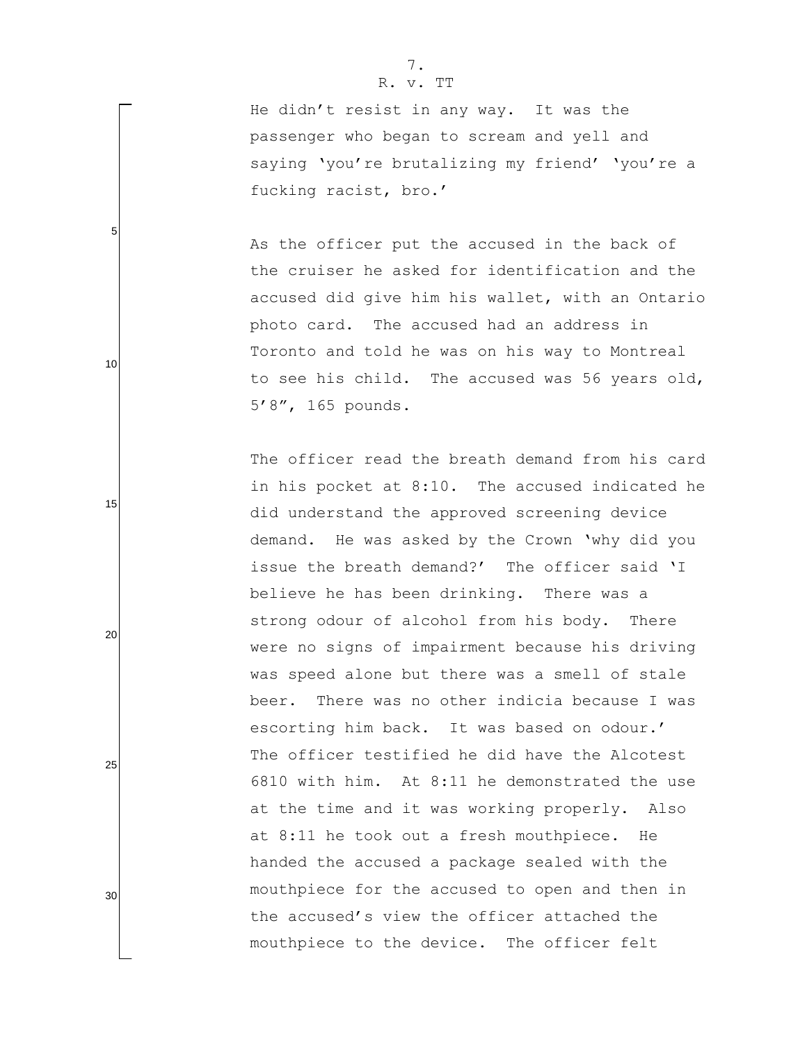5

10

15

20

25

30

He didn"t resist in any way. It was the passenger who began to scream and yell and saying 'you're brutalizing my friend' 'you're a fucking racist, bro."

As the officer put the accused in the back of the cruiser he asked for identification and the accused did give him his wallet, with an Ontario photo card. The accused had an address in Toronto and told he was on his way to Montreal to see his child. The accused was 56 years old, 5"8", 165 pounds.

The officer read the breath demand from his card in his pocket at 8:10. The accused indicated he did understand the approved screening device demand. He was asked by the Crown "why did you issue the breath demand?' The officer said 'I believe he has been drinking. There was a strong odour of alcohol from his body. There were no signs of impairment because his driving was speed alone but there was a smell of stale beer. There was no other indicia because I was escorting him back. It was based on odour.' The officer testified he did have the Alcotest 6810 with him. At 8:11 he demonstrated the use at the time and it was working properly. Also at 8:11 he took out a fresh mouthpiece. He handed the accused a package sealed with the mouthpiece for the accused to open and then in the accused"s view the officer attached the mouthpiece to the device. The officer felt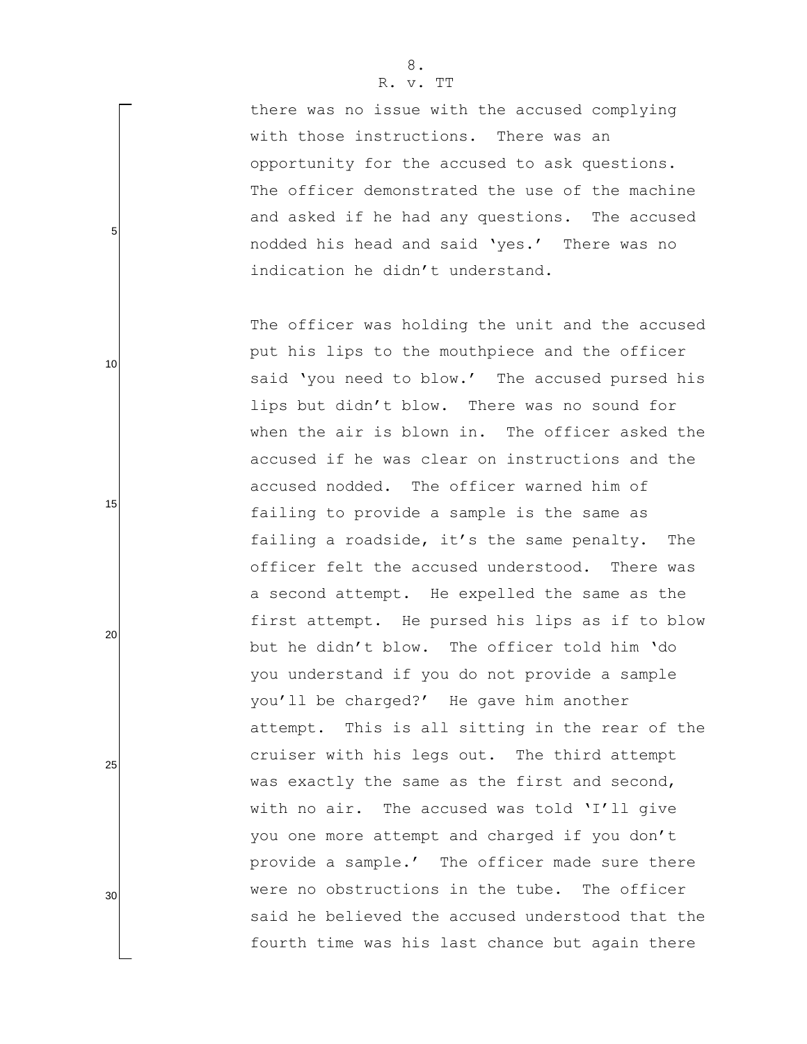there was no issue with the accused complying with those instructions. There was an opportunity for the accused to ask questions. The officer demonstrated the use of the machine and asked if he had any questions. The accused nodded his head and said "yes." There was no indication he didn"t understand.

The officer was holding the unit and the accused put his lips to the mouthpiece and the officer said 'you need to blow.' The accused pursed his lips but didn"t blow. There was no sound for when the air is blown in. The officer asked the accused if he was clear on instructions and the accused nodded. The officer warned him of failing to provide a sample is the same as failing a roadside, it's the same penalty. The officer felt the accused understood. There was a second attempt. He expelled the same as the first attempt. He pursed his lips as if to blow but he didn"t blow. The officer told him "do you understand if you do not provide a sample you"ll be charged?" He gave him another attempt. This is all sitting in the rear of the cruiser with his legs out. The third attempt was exactly the same as the first and second, with no air. The accused was told 'I'll give you one more attempt and charged if you don't provide a sample.' The officer made sure there were no obstructions in the tube. The officer said he believed the accused understood that the fourth time was his last chance but again there

5

10

15

20

25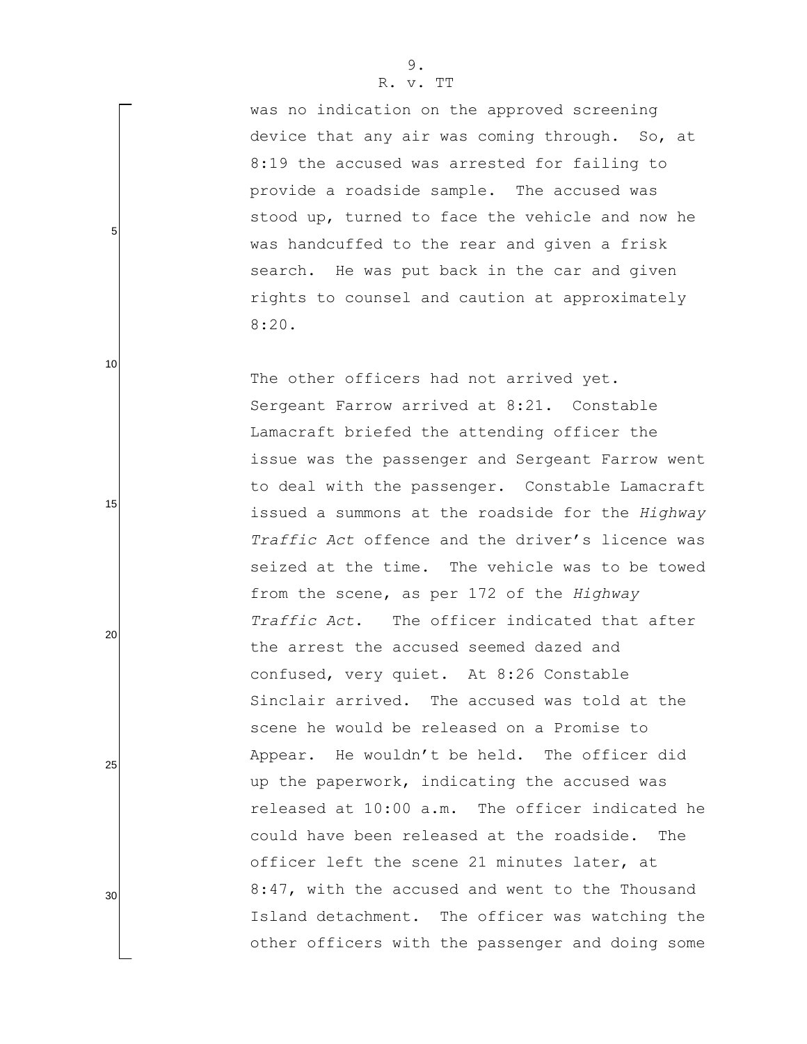was no indication on the approved screening device that any air was coming through. So, at 8:19 the accused was arrested for failing to provide a roadside sample. The accused was stood up, turned to face the vehicle and now he was handcuffed to the rear and given a frisk search. He was put back in the car and given rights to counsel and caution at approximately 8:20.

The other officers had not arrived yet. Sergeant Farrow arrived at 8:21. Constable Lamacraft briefed the attending officer the issue was the passenger and Sergeant Farrow went to deal with the passenger. Constable Lamacraft issued a summons at the roadside for the *Highway Traffic Act* offence and the driver"s licence was seized at the time. The vehicle was to be towed from the scene, as per 172 of the *Highway Traffic Act*. The officer indicated that after the arrest the accused seemed dazed and confused, very quiet. At 8:26 Constable Sinclair arrived. The accused was told at the scene he would be released on a Promise to Appear. He wouldn"t be held. The officer did up the paperwork, indicating the accused was released at 10:00 a.m. The officer indicated he could have been released at the roadside. The officer left the scene 21 minutes later, at 8:47, with the accused and went to the Thousand Island detachment. The officer was watching the other officers with the passenger and doing some

5

10

15

20

25

30

9.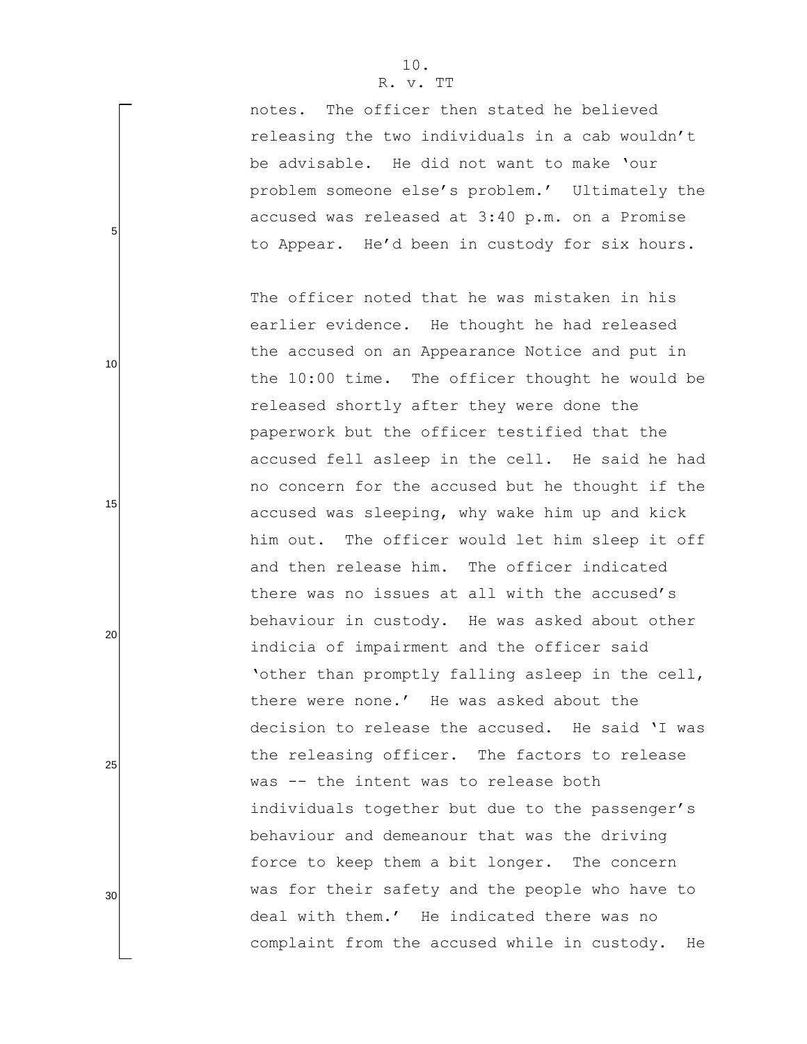5

10

15

20

25

30

notes. The officer then stated he believed releasing the two individuals in a cab wouldn"t be advisable. He did not want to make "our problem someone else"s problem." Ultimately the accused was released at 3:40 p.m. on a Promise to Appear. He'd been in custody for six hours.

The officer noted that he was mistaken in his earlier evidence. He thought he had released the accused on an Appearance Notice and put in the 10:00 time. The officer thought he would be released shortly after they were done the paperwork but the officer testified that the accused fell asleep in the cell. He said he had no concern for the accused but he thought if the accused was sleeping, why wake him up and kick him out. The officer would let him sleep it off and then release him. The officer indicated there was no issues at all with the accused's behaviour in custody. He was asked about other indicia of impairment and the officer said 'other than promptly falling asleep in the cell, there were none." He was asked about the decision to release the accused. He said "I was the releasing officer. The factors to release was -- the intent was to release both individuals together but due to the passenger's behaviour and demeanour that was the driving force to keep them a bit longer. The concern was for their safety and the people who have to deal with them." He indicated there was no complaint from the accused while in custody. He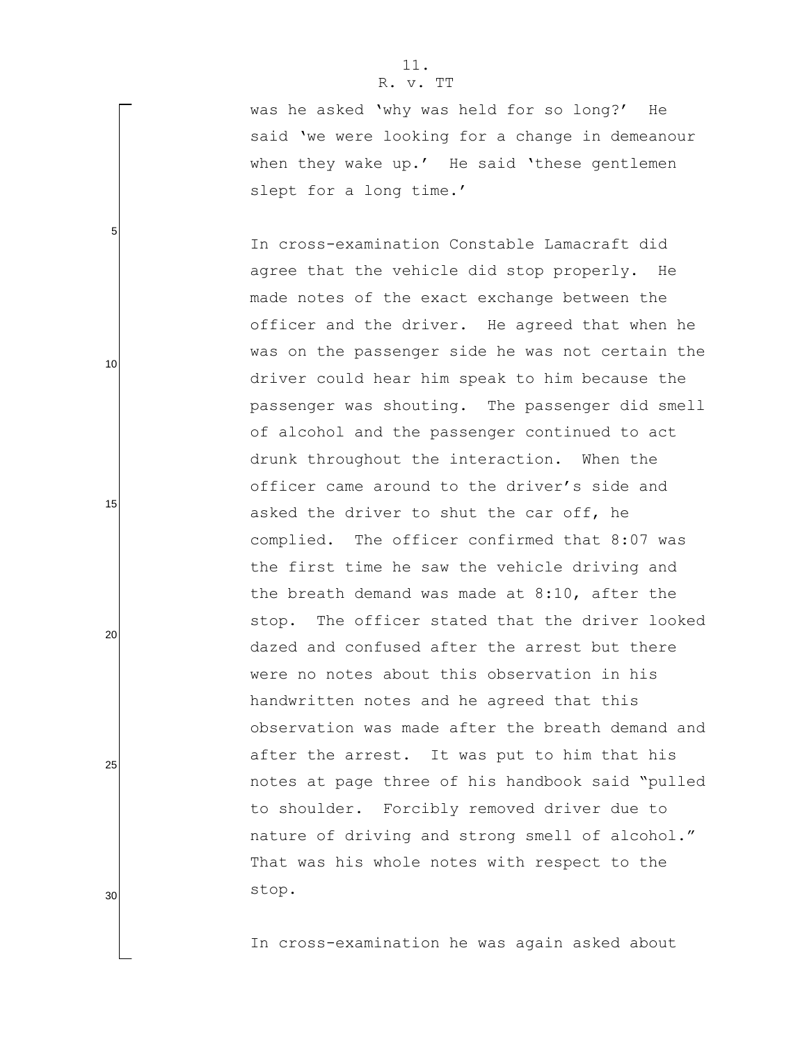was he asked "why was held for so long?" He said 'we were looking for a change in demeanour when they wake up.' He said 'these gentlemen slept for a long time.'

In cross-examination Constable Lamacraft did agree that the vehicle did stop properly. He made notes of the exact exchange between the officer and the driver. He agreed that when he was on the passenger side he was not certain the driver could hear him speak to him because the passenger was shouting. The passenger did smell of alcohol and the passenger continued to act drunk throughout the interaction. When the officer came around to the driver"s side and asked the driver to shut the car off, he complied. The officer confirmed that 8:07 was the first time he saw the vehicle driving and the breath demand was made at 8:10, after the stop. The officer stated that the driver looked dazed and confused after the arrest but there were no notes about this observation in his handwritten notes and he agreed that this observation was made after the breath demand and after the arrest. It was put to him that his notes at page three of his handbook said "pulled to shoulder. Forcibly removed driver due to nature of driving and strong smell of alcohol." That was his whole notes with respect to the stop.

In cross-examination he was again asked about

5

10

15

20

25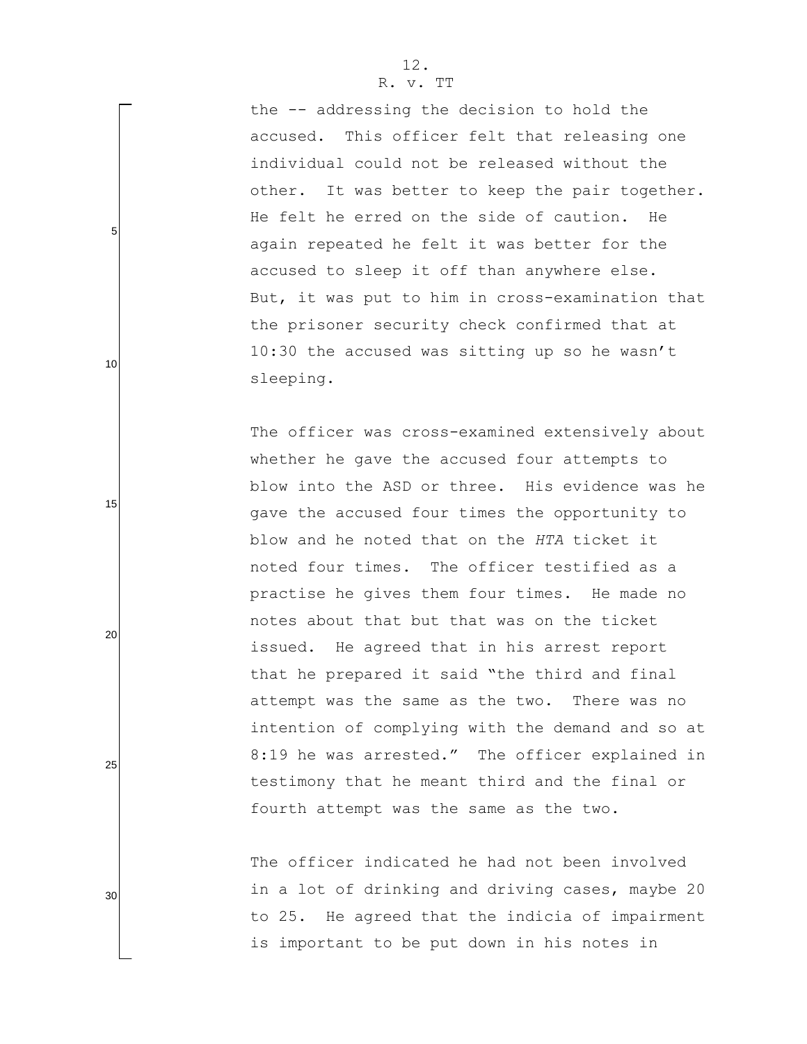the -- addressing the decision to hold the accused. This officer felt that releasing one individual could not be released without the other. It was better to keep the pair together. He felt he erred on the side of caution. He again repeated he felt it was better for the accused to sleep it off than anywhere else. But, it was put to him in cross-examination that the prisoner security check confirmed that at 10:30 the accused was sitting up so he wasn"t sleeping.

The officer was cross-examined extensively about whether he gave the accused four attempts to blow into the ASD or three. His evidence was he gave the accused four times the opportunity to blow and he noted that on the *HTA* ticket it noted four times. The officer testified as a practise he gives them four times. He made no notes about that but that was on the ticket issued. He agreed that in his arrest report that he prepared it said "the third and final attempt was the same as the two. There was no intention of complying with the demand and so at 8:19 he was arrested." The officer explained in testimony that he meant third and the final or fourth attempt was the same as the two.

The officer indicated he had not been involved in a lot of drinking and driving cases, maybe 20 to 25. He agreed that the indicia of impairment is important to be put down in his notes in

25

5

10

15

20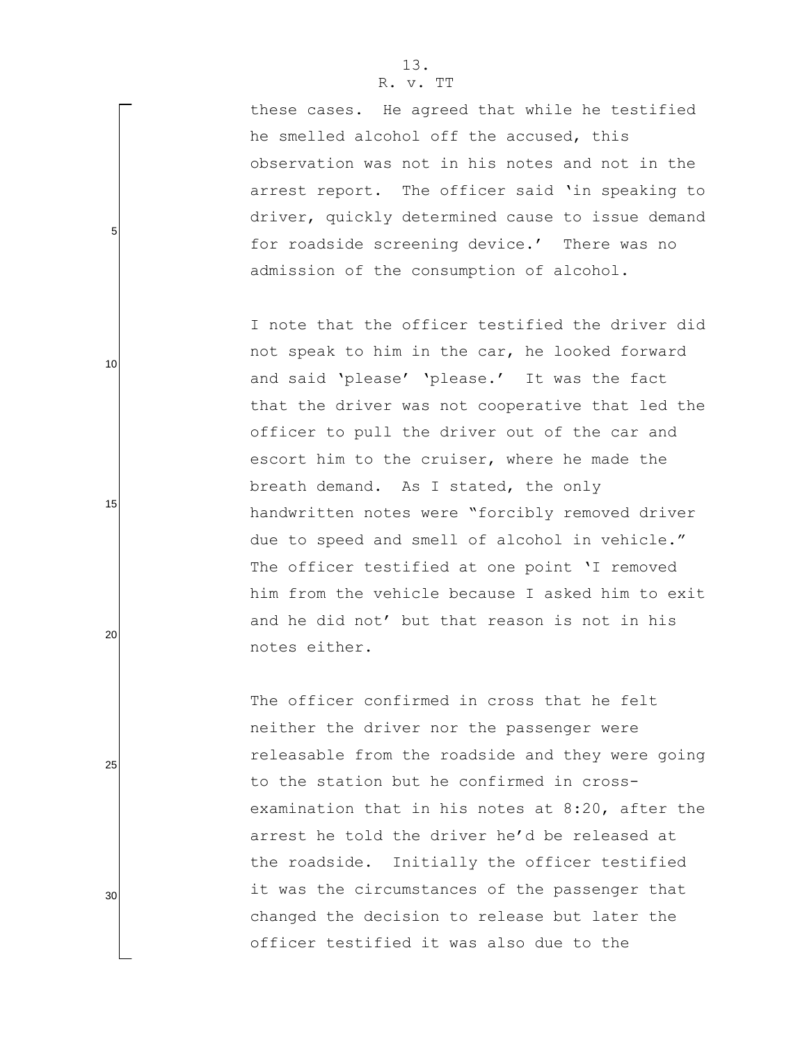5

10

15

20

25

30

these cases. He agreed that while he testified he smelled alcohol off the accused, this observation was not in his notes and not in the arrest report. The officer said "in speaking to driver, quickly determined cause to issue demand for roadside screening device.' There was no admission of the consumption of alcohol.

I note that the officer testified the driver did not speak to him in the car, he looked forward and said 'please' 'please.' It was the fact that the driver was not cooperative that led the officer to pull the driver out of the car and escort him to the cruiser, where he made the breath demand. As I stated, the only handwritten notes were "forcibly removed driver due to speed and smell of alcohol in vehicle." The officer testified at one point 'I removed him from the vehicle because I asked him to exit and he did not" but that reason is not in his notes either.

The officer confirmed in cross that he felt neither the driver nor the passenger were releasable from the roadside and they were going to the station but he confirmed in crossexamination that in his notes at 8:20, after the arrest he told the driver he"d be released at the roadside. Initially the officer testified it was the circumstances of the passenger that changed the decision to release but later the officer testified it was also due to the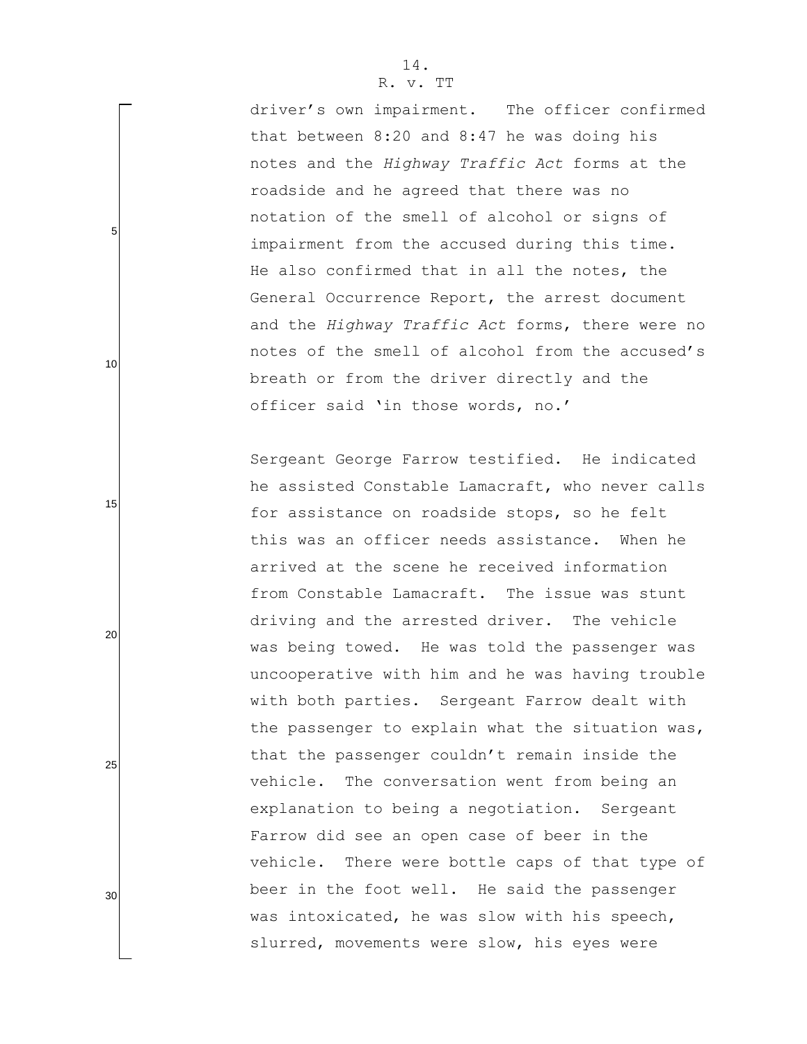driver"s own impairment. The officer confirmed that between 8:20 and 8:47 he was doing his notes and the *Highway Traffic Act* forms at the roadside and he agreed that there was no notation of the smell of alcohol or signs of impairment from the accused during this time. He also confirmed that in all the notes, the General Occurrence Report, the arrest document and the *Highway Traffic Act* forms, there were no notes of the smell of alcohol from the accused's breath or from the driver directly and the officer said "in those words, no."

Sergeant George Farrow testified. He indicated he assisted Constable Lamacraft, who never calls for assistance on roadside stops, so he felt this was an officer needs assistance. When he arrived at the scene he received information from Constable Lamacraft. The issue was stunt driving and the arrested driver. The vehicle was being towed. He was told the passenger was uncooperative with him and he was having trouble with both parties. Sergeant Farrow dealt with the passenger to explain what the situation was, that the passenger couldn"t remain inside the vehicle. The conversation went from being an explanation to being a negotiation. Sergeant Farrow did see an open case of beer in the vehicle. There were bottle caps of that type of beer in the foot well. He said the passenger was intoxicated, he was slow with his speech, slurred, movements were slow, his eyes were

25

5

10

15

20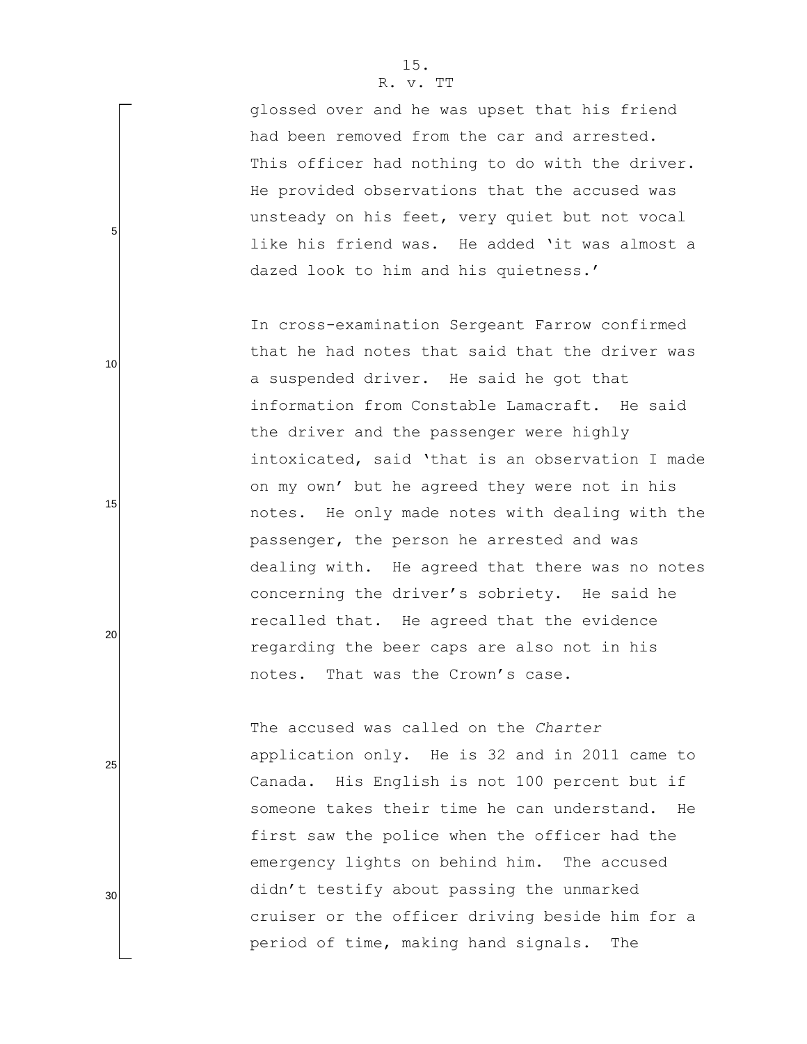glossed over and he was upset that his friend had been removed from the car and arrested. This officer had nothing to do with the driver. He provided observations that the accused was unsteady on his feet, very quiet but not vocal like his friend was. He added 'it was almost a dazed look to him and his quietness.'

In cross-examination Sergeant Farrow confirmed that he had notes that said that the driver was a suspended driver. He said he got that information from Constable Lamacraft. He said the driver and the passenger were highly intoxicated, said "that is an observation I made on my own" but he agreed they were not in his notes. He only made notes with dealing with the passenger, the person he arrested and was dealing with. He agreed that there was no notes concerning the driver"s sobriety. He said he recalled that. He agreed that the evidence regarding the beer caps are also not in his notes. That was the Crown"s case.

The accused was called on the *Charter* application only. He is 32 and in 2011 came to Canada. His English is not 100 percent but if someone takes their time he can understand. He first saw the police when the officer had the emergency lights on behind him. The accused didn"t testify about passing the unmarked cruiser or the officer driving beside him for a period of time, making hand signals. The

5

10

15

20

25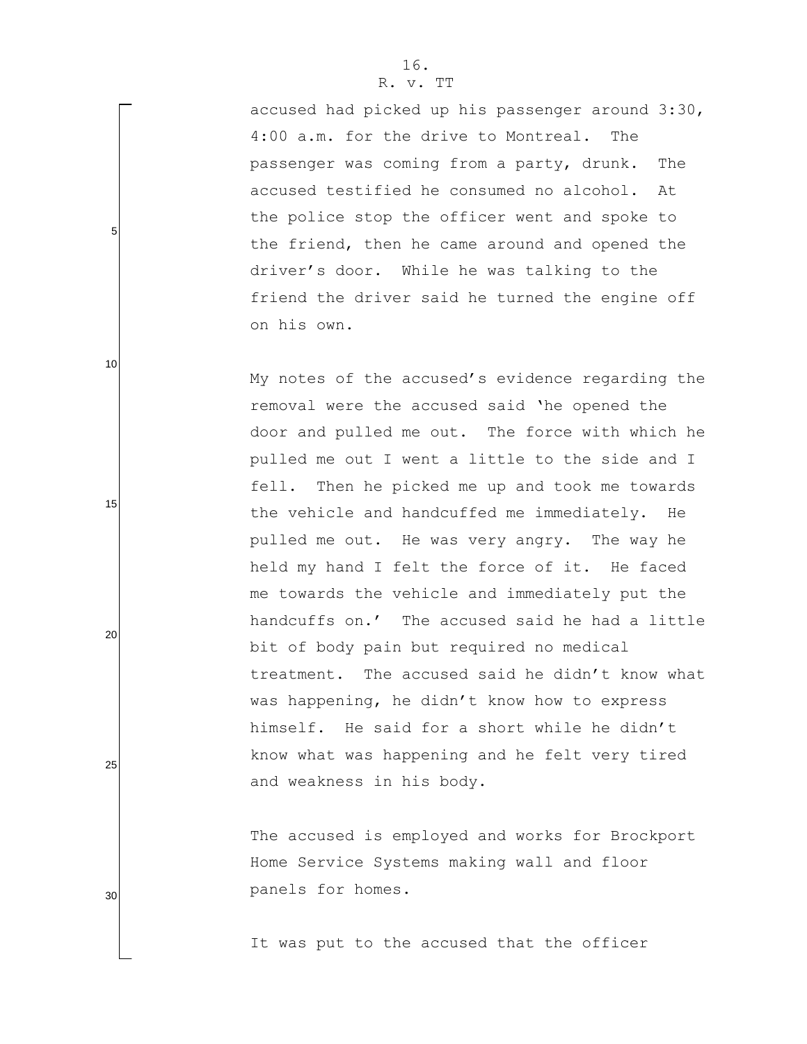accused had picked up his passenger around 3:30, 4:00 a.m. for the drive to Montreal. The passenger was coming from a party, drunk. The accused testified he consumed no alcohol. At the police stop the officer went and spoke to the friend, then he came around and opened the driver"s door. While he was talking to the friend the driver said he turned the engine off on his own.

My notes of the accused's evidence regarding the removal were the accused said "he opened the door and pulled me out. The force with which he pulled me out I went a little to the side and I fell. Then he picked me up and took me towards the vehicle and handcuffed me immediately. He pulled me out. He was very angry. The way he held my hand I felt the force of it. He faced me towards the vehicle and immediately put the handcuffs on." The accused said he had a little bit of body pain but required no medical treatment. The accused said he didn"t know what was happening, he didn't know how to express himself. He said for a short while he didn't know what was happening and he felt very tired and weakness in his body.

The accused is employed and works for Brockport Home Service Systems making wall and floor panels for homes.

It was put to the accused that the officer

5

10

15

20

25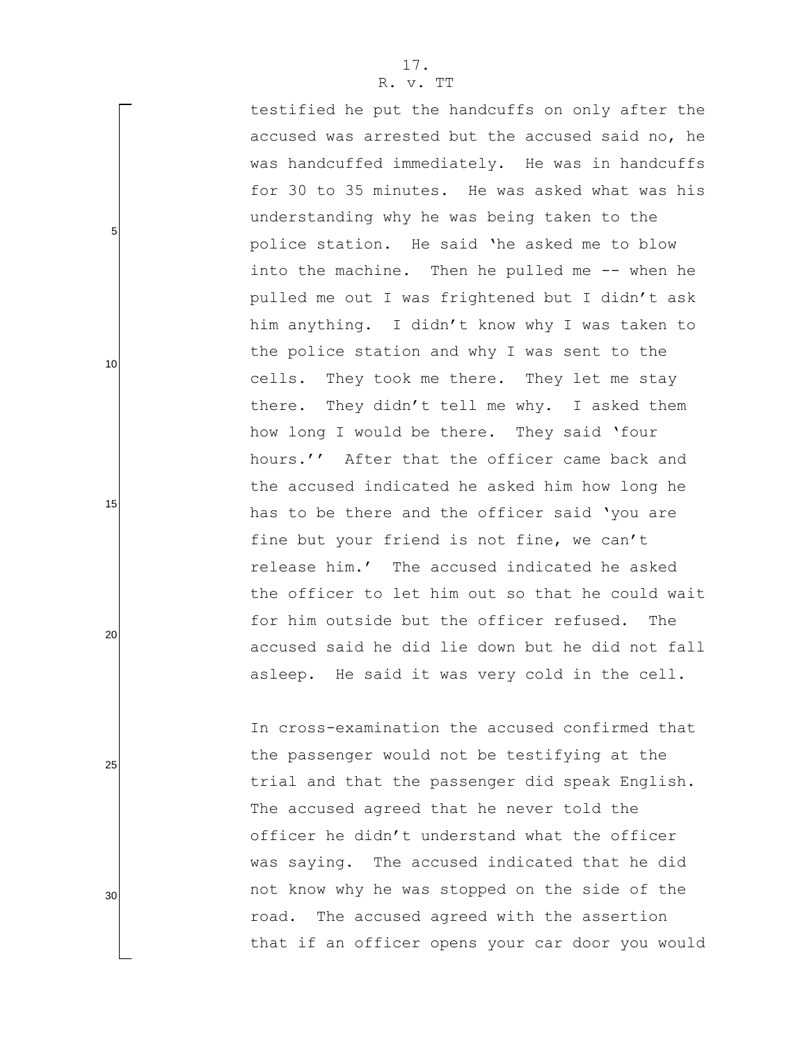testified he put the handcuffs on only after the accused was arrested but the accused said no, he was handcuffed immediately. He was in handcuffs for 30 to 35 minutes. He was asked what was his understanding why he was being taken to the police station. He said "he asked me to blow into the machine. Then he pulled me -- when he pulled me out I was frightened but I didn"t ask him anything. I didn"t know why I was taken to the police station and why I was sent to the cells. They took me there. They let me stay there. They didn"t tell me why. I asked them how long I would be there. They said "four hours.'' After that the officer came back and the accused indicated he asked him how long he has to be there and the officer said 'you are fine but your friend is not fine, we can't release him." The accused indicated he asked the officer to let him out so that he could wait for him outside but the officer refused. The accused said he did lie down but he did not fall asleep. He said it was very cold in the cell.

In cross-examination the accused confirmed that the passenger would not be testifying at the trial and that the passenger did speak English. The accused agreed that he never told the officer he didn"t understand what the officer was saying. The accused indicated that he did not know why he was stopped on the side of the road. The accused agreed with the assertion that if an officer opens your car door you would

5

10

15

20

25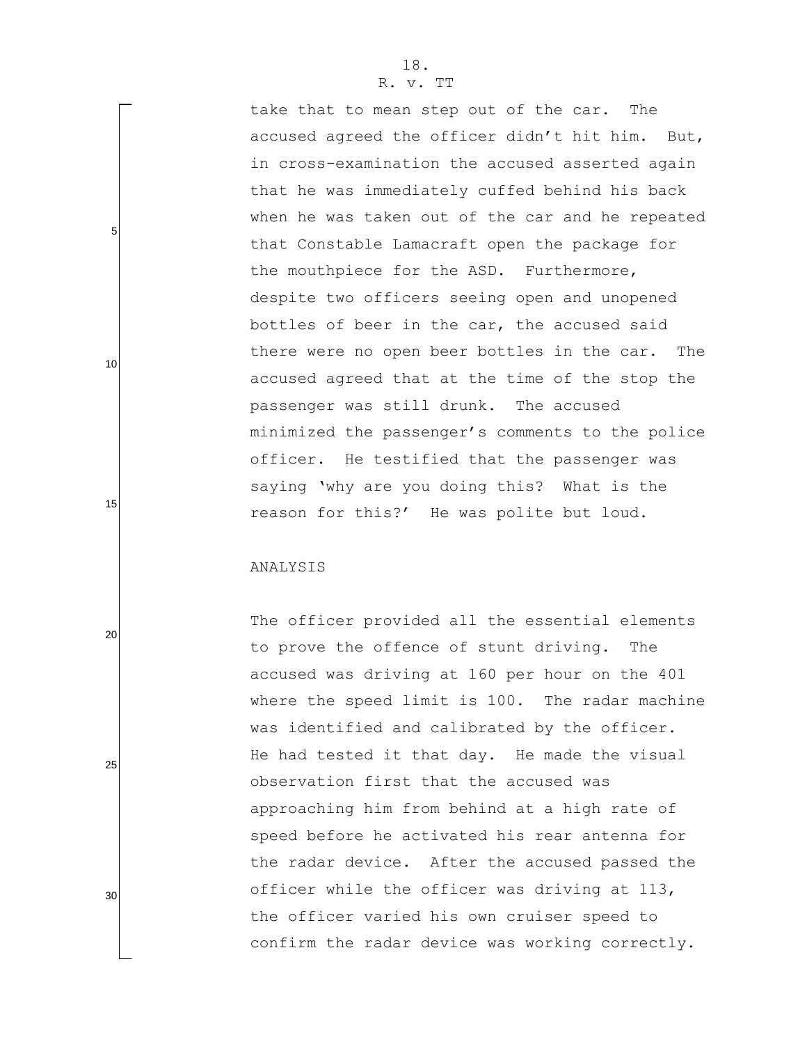take that to mean step out of the car. The accused agreed the officer didn"t hit him. But, in cross-examination the accused asserted again that he was immediately cuffed behind his back when he was taken out of the car and he repeated that Constable Lamacraft open the package for the mouthpiece for the ASD. Furthermore, despite two officers seeing open and unopened bottles of beer in the car, the accused said there were no open beer bottles in the car. The accused agreed that at the time of the stop the passenger was still drunk. The accused minimized the passenger"s comments to the police officer. He testified that the passenger was saying 'why are you doing this? What is the reason for this?" He was polite but loud.

#### ANALYSIS

5

10

15

20

25

30

The officer provided all the essential elements to prove the offence of stunt driving. The accused was driving at 160 per hour on the 401 where the speed limit is 100. The radar machine was identified and calibrated by the officer. He had tested it that day. He made the visual observation first that the accused was approaching him from behind at a high rate of speed before he activated his rear antenna for the radar device. After the accused passed the officer while the officer was driving at 113, the officer varied his own cruiser speed to confirm the radar device was working correctly.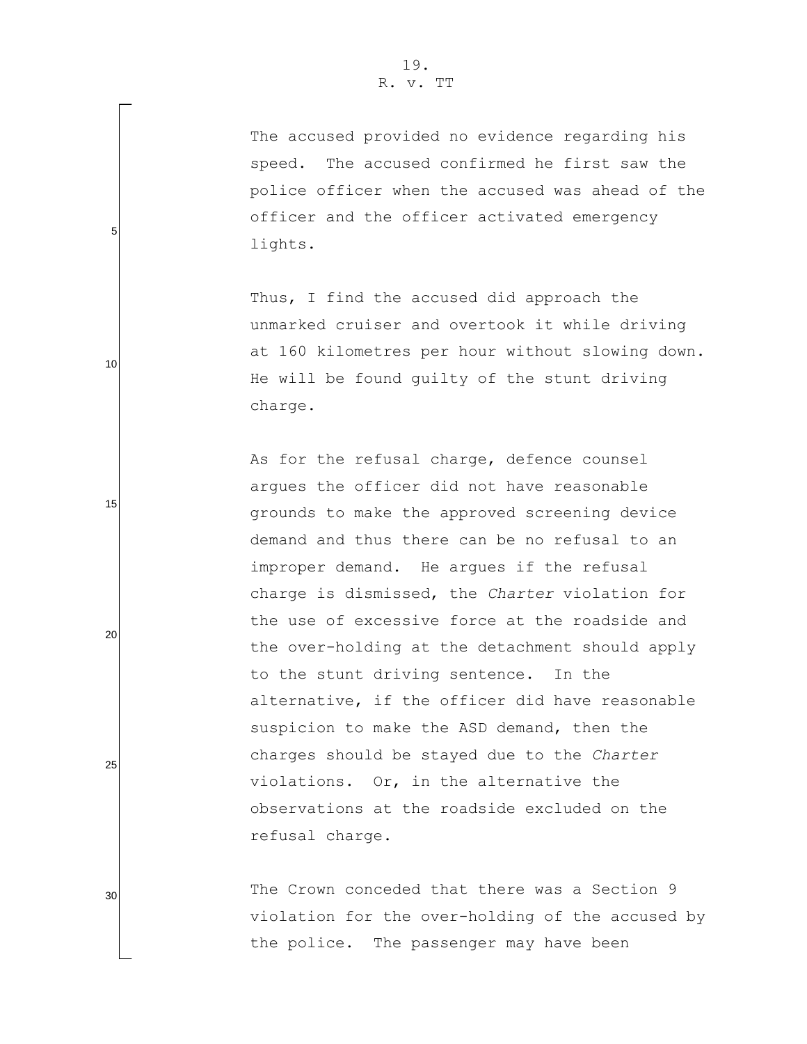The accused provided no evidence regarding his speed. The accused confirmed he first saw the police officer when the accused was ahead of the officer and the officer activated emergency lights.

Thus, I find the accused did approach the unmarked cruiser and overtook it while driving at 160 kilometres per hour without slowing down. He will be found guilty of the stunt driving charge.

As for the refusal charge, defence counsel argues the officer did not have reasonable grounds to make the approved screening device demand and thus there can be no refusal to an improper demand. He argues if the refusal charge is dismissed, the *Charter* violation for the use of excessive force at the roadside and the over-holding at the detachment should apply to the stunt driving sentence. In the alternative, if the officer did have reasonable suspicion to make the ASD demand, then the charges should be stayed due to the *Charter* violations. Or, in the alternative the observations at the roadside excluded on the refusal charge.

The Crown conceded that there was a Section 9 violation for the over-holding of the accused by the police. The passenger may have been

30

25

5

10

15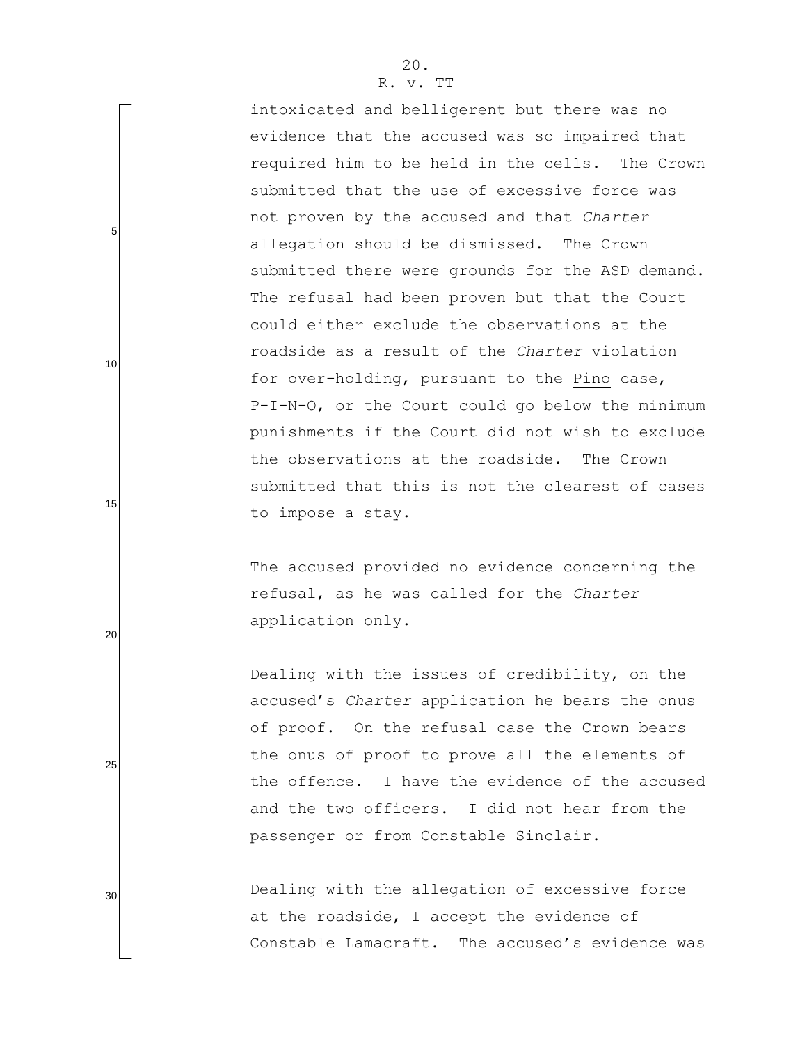intoxicated and belligerent but there was no evidence that the accused was so impaired that required him to be held in the cells. The Crown submitted that the use of excessive force was not proven by the accused and that *Charter* allegation should be dismissed. The Crown submitted there were grounds for the ASD demand. The refusal had been proven but that the Court could either exclude the observations at the roadside as a result of the *Charter* violation for over-holding, pursuant to the Pino case, P-I-N-O, or the Court could go below the minimum punishments if the Court did not wish to exclude the observations at the roadside. The Crown submitted that this is not the clearest of cases to impose a stay.

The accused provided no evidence concerning the refusal, as he was called for the *Charter* application only.

Dealing with the issues of credibility, on the accused"s *Charter* application he bears the onus of proof. On the refusal case the Crown bears the onus of proof to prove all the elements of the offence. I have the evidence of the accused and the two officers. I did not hear from the passenger or from Constable Sinclair.

Dealing with the allegation of excessive force at the roadside, I accept the evidence of Constable Lamacraft. The accused's evidence was

20

5

10

15

25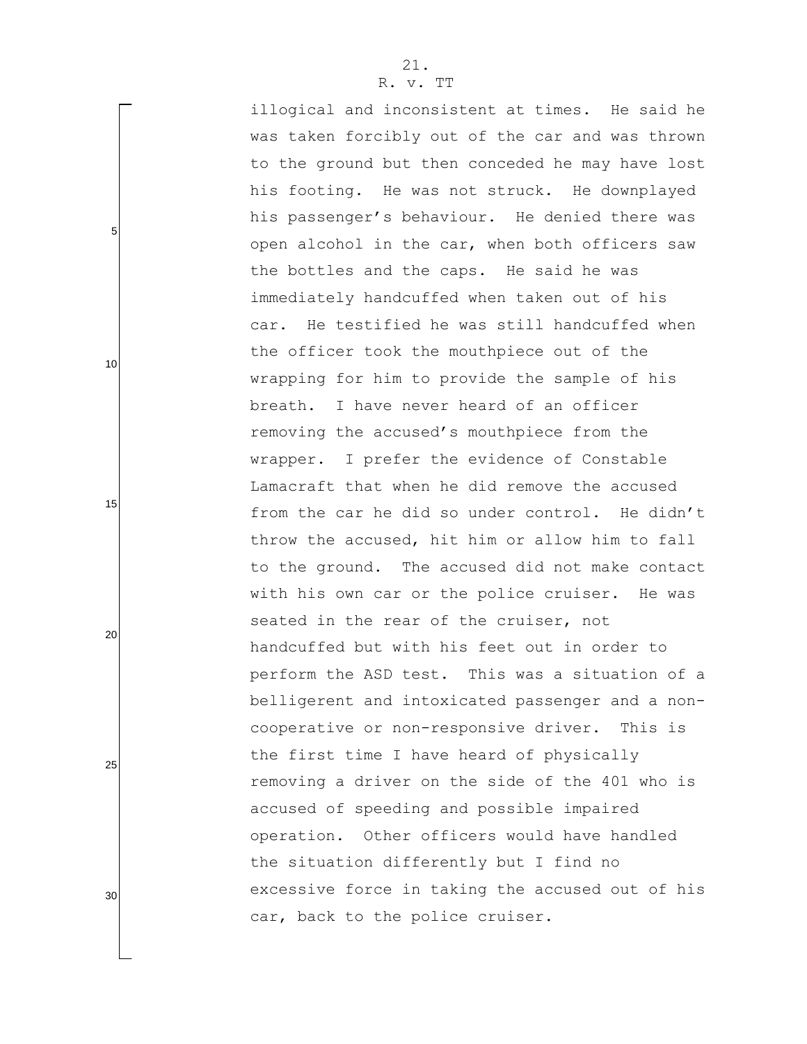illogical and inconsistent at times. He said he was taken forcibly out of the car and was thrown to the ground but then conceded he may have lost his footing. He was not struck. He downplayed his passenger's behaviour. He denied there was open alcohol in the car, when both officers saw the bottles and the caps. He said he was immediately handcuffed when taken out of his car. He testified he was still handcuffed when the officer took the mouthpiece out of the wrapping for him to provide the sample of his breath. I have never heard of an officer removing the accused's mouthpiece from the wrapper. I prefer the evidence of Constable Lamacraft that when he did remove the accused from the car he did so under control. He didn't throw the accused, hit him or allow him to fall to the ground. The accused did not make contact with his own car or the police cruiser. He was seated in the rear of the cruiser, not handcuffed but with his feet out in order to perform the ASD test. This was a situation of a belligerent and intoxicated passenger and a noncooperative or non-responsive driver. This is the first time I have heard of physically removing a driver on the side of the 401 who is accused of speeding and possible impaired operation. Other officers would have handled the situation differently but I find no excessive force in taking the accused out of his car, back to the police cruiser.

20

5

10

15

25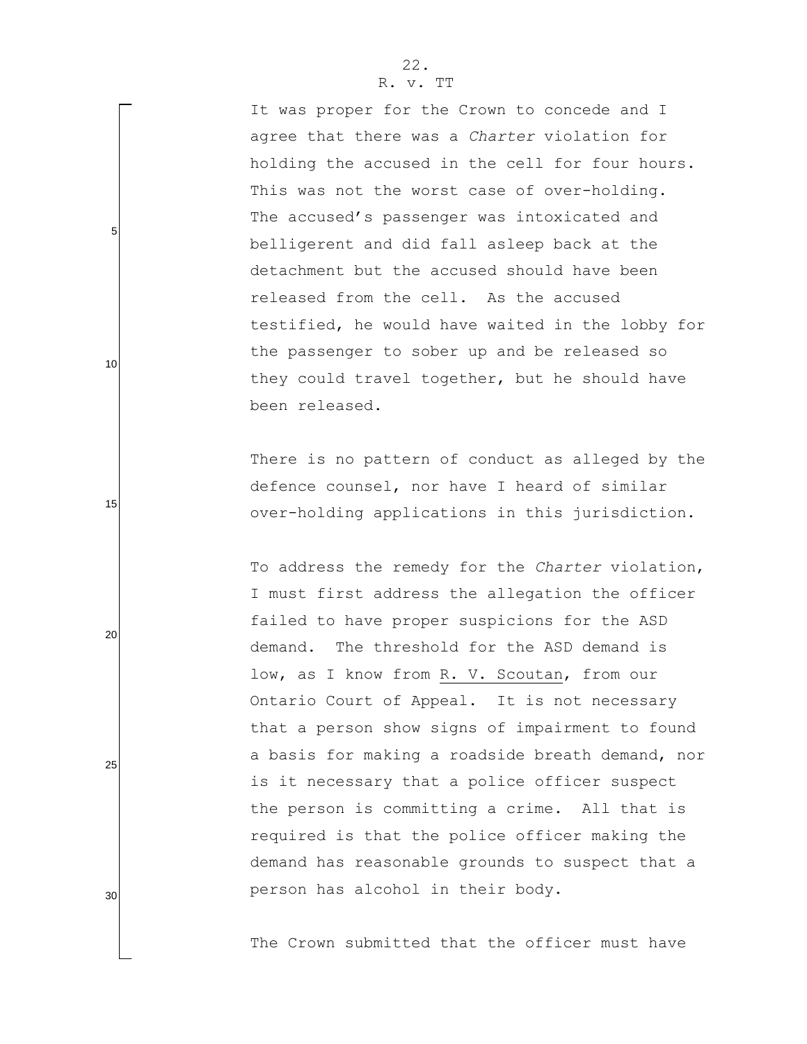It was proper for the Crown to concede and I agree that there was a *Charter* violation for holding the accused in the cell for four hours. This was not the worst case of over-holding. The accused's passenger was intoxicated and belligerent and did fall asleep back at the detachment but the accused should have been released from the cell. As the accused testified, he would have waited in the lobby for the passenger to sober up and be released so they could travel together, but he should have been released.

There is no pattern of conduct as alleged by the defence counsel, nor have I heard of similar over-holding applications in this jurisdiction.

To address the remedy for the *Charter* violation, I must first address the allegation the officer failed to have proper suspicions for the ASD demand. The threshold for the ASD demand is low, as I know from R. V. Scoutan, from our Ontario Court of Appeal. It is not necessary that a person show signs of impairment to found a basis for making a roadside breath demand, nor is it necessary that a police officer suspect the person is committing a crime. All that is required is that the police officer making the demand has reasonable grounds to suspect that a person has alcohol in their body.

The Crown submitted that the officer must have

5

10

15

25

20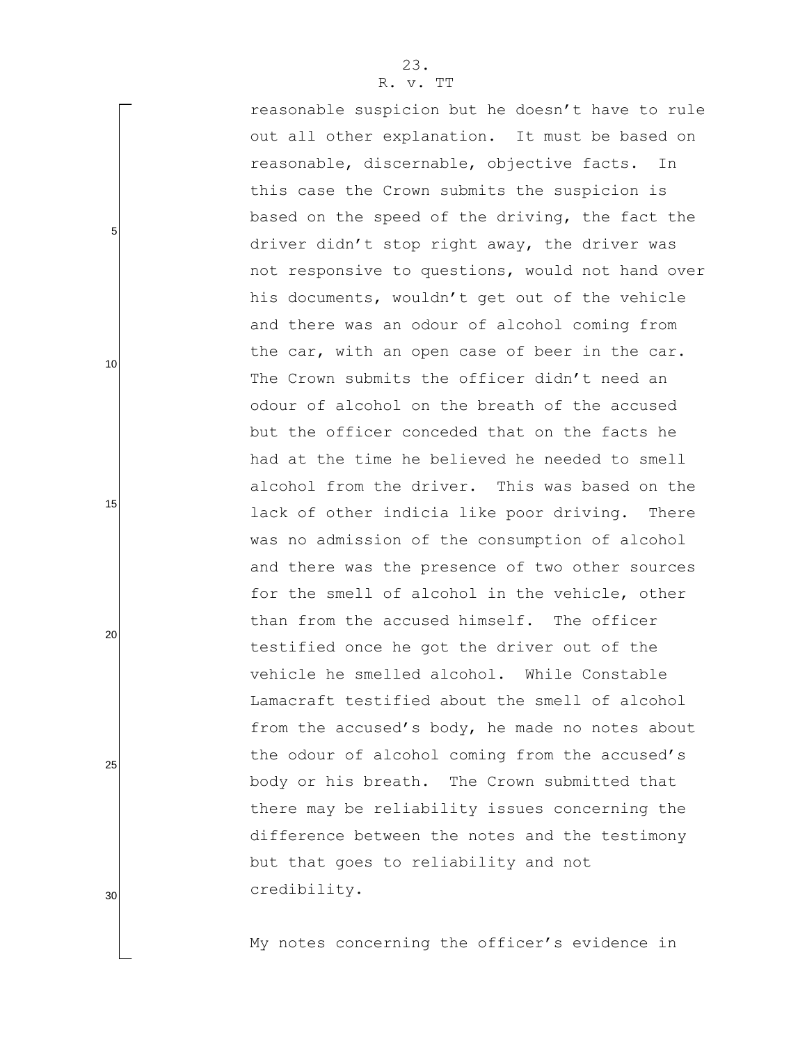reasonable suspicion but he doesn"t have to rule out all other explanation. It must be based on reasonable, discernable, objective facts. In this case the Crown submits the suspicion is based on the speed of the driving, the fact the driver didn"t stop right away, the driver was not responsive to questions, would not hand over his documents, wouldn"t get out of the vehicle and there was an odour of alcohol coming from the car, with an open case of beer in the car. The Crown submits the officer didn't need an odour of alcohol on the breath of the accused but the officer conceded that on the facts he had at the time he believed he needed to smell alcohol from the driver. This was based on the lack of other indicia like poor driving. There was no admission of the consumption of alcohol and there was the presence of two other sources for the smell of alcohol in the vehicle, other than from the accused himself. The officer testified once he got the driver out of the vehicle he smelled alcohol. While Constable Lamacraft testified about the smell of alcohol from the accused's body, he made no notes about the odour of alcohol coming from the accused's body or his breath. The Crown submitted that there may be reliability issues concerning the difference between the notes and the testimony but that goes to reliability and not credibility.

My notes concerning the officer"s evidence in

25

5

10

15

20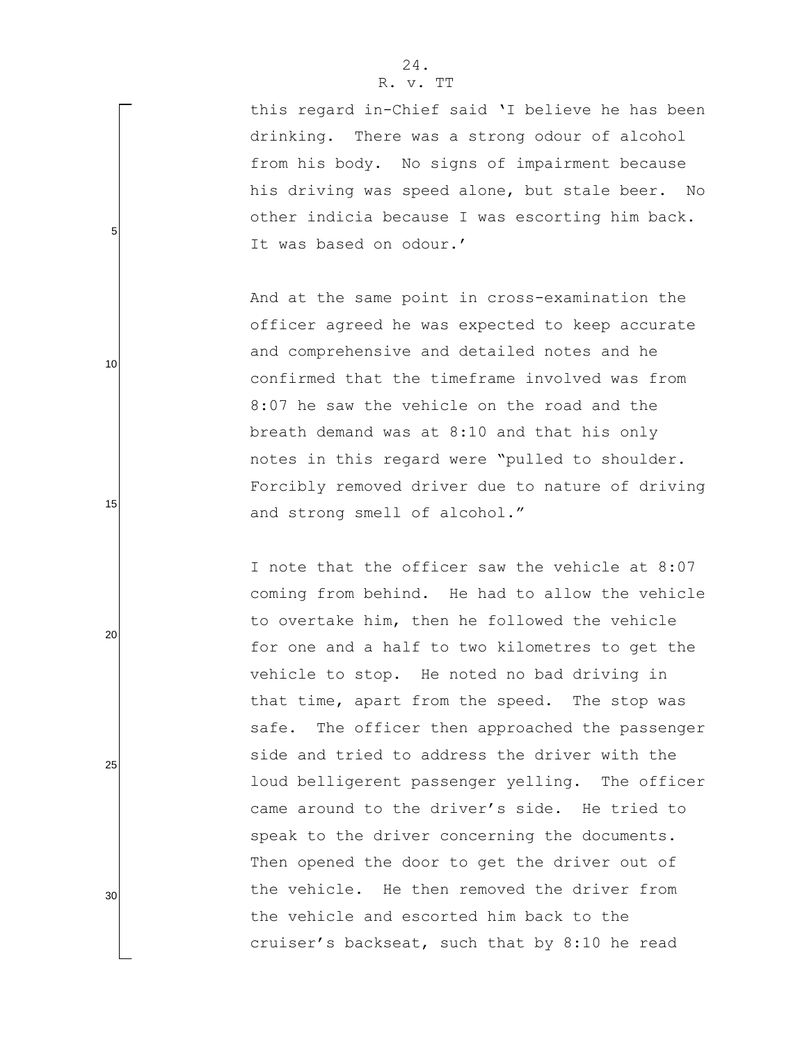this regard in-Chief said "I believe he has been drinking. There was a strong odour of alcohol from his body. No signs of impairment because his driving was speed alone, but stale beer. No other indicia because I was escorting him back. It was based on odour.'

And at the same point in cross-examination the officer agreed he was expected to keep accurate and comprehensive and detailed notes and he confirmed that the timeframe involved was from 8:07 he saw the vehicle on the road and the breath demand was at 8:10 and that his only notes in this regard were "pulled to shoulder. Forcibly removed driver due to nature of driving and strong smell of alcohol."

I note that the officer saw the vehicle at 8:07 coming from behind. He had to allow the vehicle to overtake him, then he followed the vehicle for one and a half to two kilometres to get the vehicle to stop. He noted no bad driving in that time, apart from the speed. The stop was safe. The officer then approached the passenger side and tried to address the driver with the loud belligerent passenger yelling. The officer came around to the driver"s side. He tried to speak to the driver concerning the documents. Then opened the door to get the driver out of the vehicle. He then removed the driver from the vehicle and escorted him back to the cruiser"s backseat, such that by 8:10 he read

5

15

10

25

20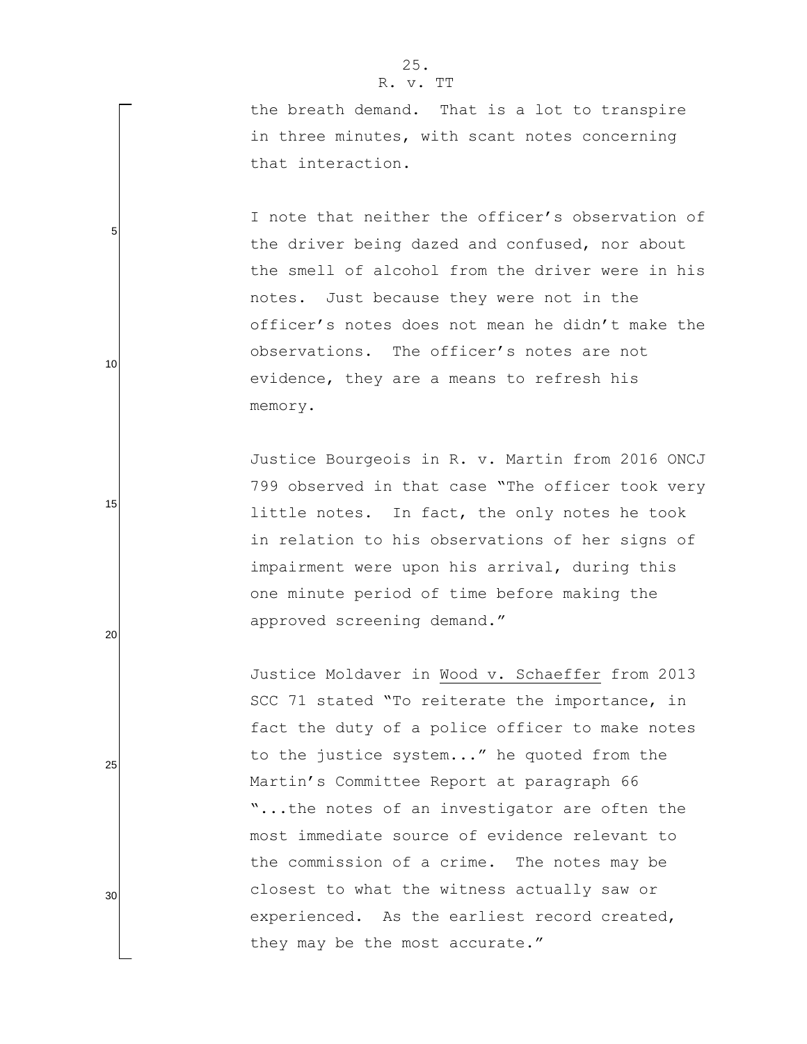5

10

15

20

25

30

the breath demand. That is a lot to transpire in three minutes, with scant notes concerning that interaction.

I note that neither the officer's observation of the driver being dazed and confused, nor about the smell of alcohol from the driver were in his notes. Just because they were not in the officer"s notes does not mean he didn"t make the observations. The officer"s notes are not evidence, they are a means to refresh his memory.

Justice Bourgeois in R. v. Martin from 2016 ONCJ 799 observed in that case "The officer took very little notes. In fact, the only notes he took in relation to his observations of her signs of impairment were upon his arrival, during this one minute period of time before making the approved screening demand."

Justice Moldaver in Wood v. Schaeffer from 2013 SCC 71 stated "To reiterate the importance, in fact the duty of a police officer to make notes to the justice system..." he quoted from the Martin"s Committee Report at paragraph 66 "...the notes of an investigator are often the most immediate source of evidence relevant to the commission of a crime. The notes may be closest to what the witness actually saw or experienced. As the earliest record created, they may be the most accurate."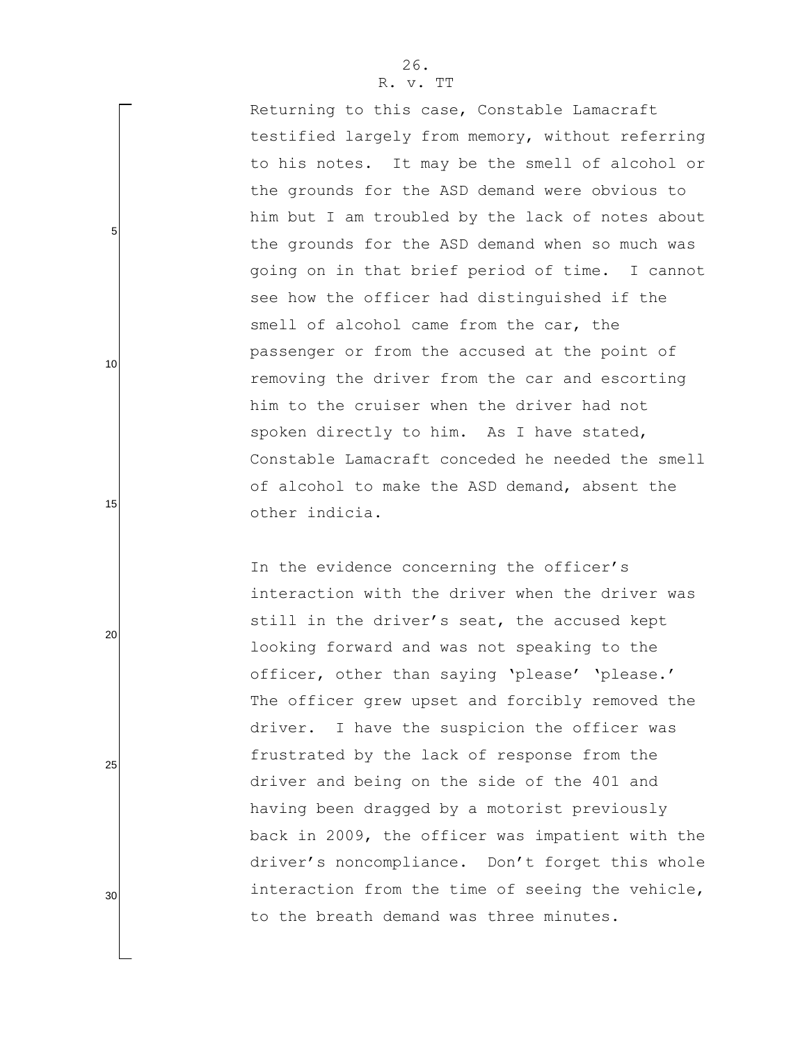Returning to this case, Constable Lamacraft testified largely from memory, without referring to his notes. It may be the smell of alcohol or the grounds for the ASD demand were obvious to him but I am troubled by the lack of notes about the grounds for the ASD demand when so much was going on in that brief period of time. I cannot see how the officer had distinguished if the smell of alcohol came from the car, the passenger or from the accused at the point of removing the driver from the car and escorting him to the cruiser when the driver had not spoken directly to him. As I have stated, Constable Lamacraft conceded he needed the smell of alcohol to make the ASD demand, absent the other indicia.

In the evidence concerning the officer's interaction with the driver when the driver was still in the driver's seat, the accused kept looking forward and was not speaking to the officer, other than saying 'please' 'please.' The officer grew upset and forcibly removed the driver. I have the suspicion the officer was frustrated by the lack of response from the driver and being on the side of the 401 and having been dragged by a motorist previously back in 2009, the officer was impatient with the driver's noncompliance. Don't forget this whole interaction from the time of seeing the vehicle, to the breath demand was three minutes.

5

15

10

25

20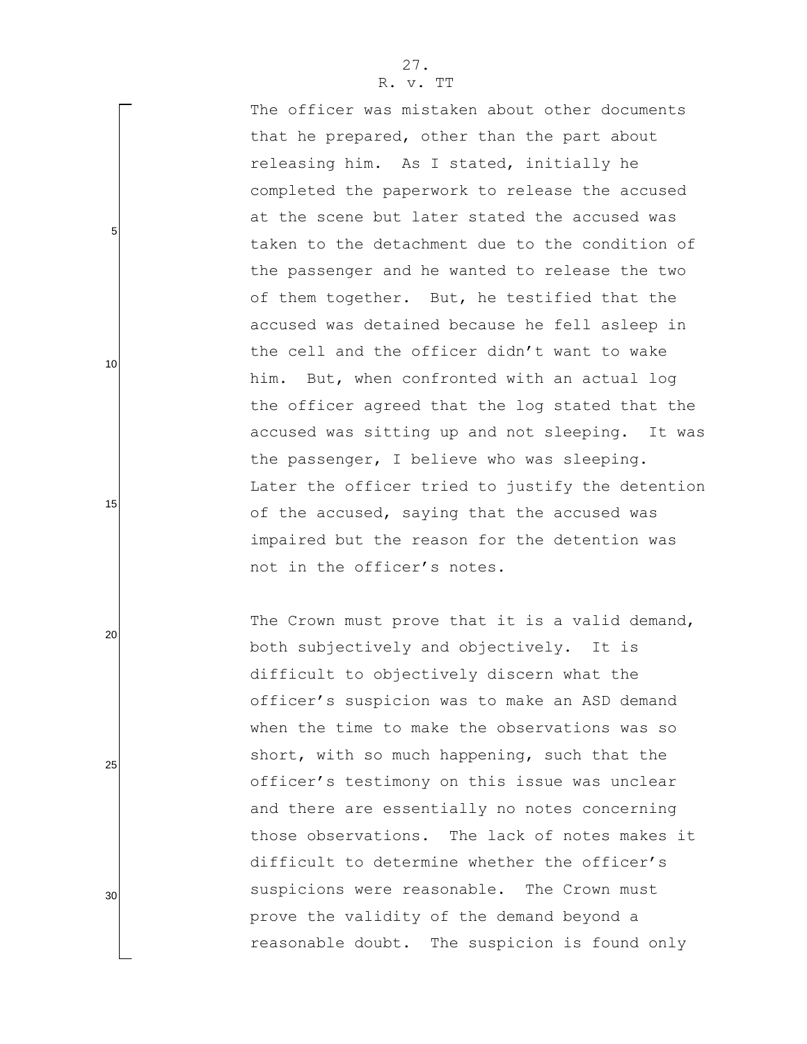The officer was mistaken about other documents that he prepared, other than the part about releasing him. As I stated, initially he completed the paperwork to release the accused at the scene but later stated the accused was taken to the detachment due to the condition of the passenger and he wanted to release the two of them together. But, he testified that the accused was detained because he fell asleep in the cell and the officer didn"t want to wake him. But, when confronted with an actual log the officer agreed that the log stated that the accused was sitting up and not sleeping. It was the passenger, I believe who was sleeping. Later the officer tried to justify the detention of the accused, saying that the accused was impaired but the reason for the detention was not in the officer"s notes.

The Crown must prove that it is a valid demand, both subjectively and objectively. It is difficult to objectively discern what the officer"s suspicion was to make an ASD demand when the time to make the observations was so short, with so much happening, such that the officer"s testimony on this issue was unclear and there are essentially no notes concerning those observations. The lack of notes makes it difficult to determine whether the officer's suspicions were reasonable. The Crown must prove the validity of the demand beyond a reasonable doubt. The suspicion is found only

5

10

15

25

20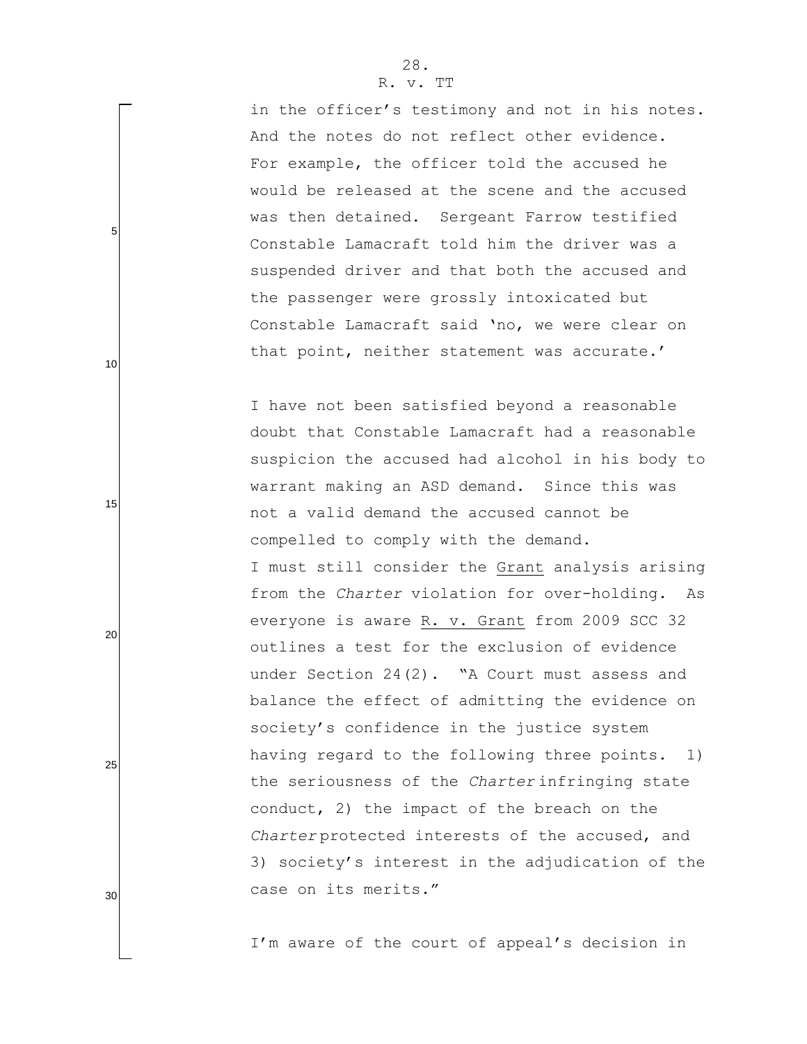in the officer's testimony and not in his notes. And the notes do not reflect other evidence. For example, the officer told the accused he would be released at the scene and the accused was then detained. Sergeant Farrow testified Constable Lamacraft told him the driver was a suspended driver and that both the accused and the passenger were grossly intoxicated but Constable Lamacraft said "no, we were clear on that point, neither statement was accurate.'

I have not been satisfied beyond a reasonable doubt that Constable Lamacraft had a reasonable suspicion the accused had alcohol in his body to warrant making an ASD demand. Since this was not a valid demand the accused cannot be compelled to comply with the demand. I must still consider the Grant analysis arising from the *Charter* violation for over-holding. As everyone is aware R. v. Grant from 2009 SCC 32 outlines a test for the exclusion of evidence under Section 24(2). "A Court must assess and balance the effect of admitting the evidence on society's confidence in the justice system having regard to the following three points. 1) the seriousness of the *Charter* infringing state conduct, 2) the impact of the breach on the *Charter* protected interests of the accused, and 3) society"s interest in the adjudication of the case on its merits."

I'm aware of the court of appeal's decision in

5

10

15

20

25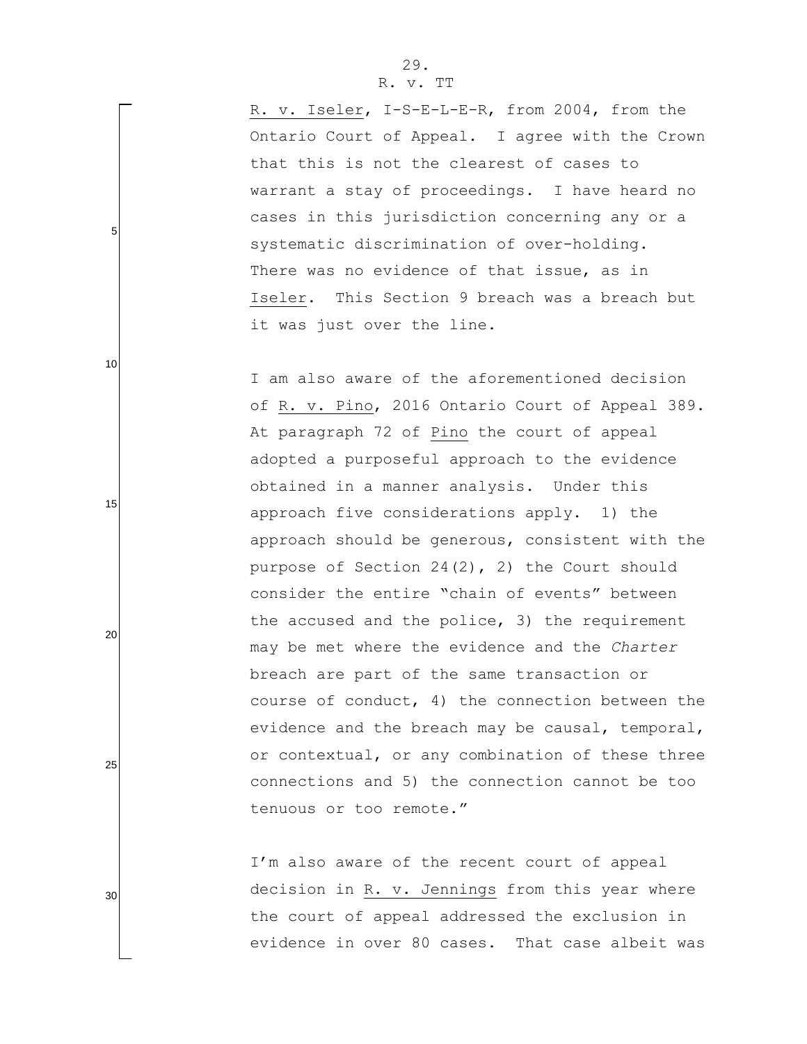# 29.

#### R. v. TT

R. v. Iseler, I-S-E-L-E-R, from 2004, from the Ontario Court of Appeal. I agree with the Crown that this is not the clearest of cases to warrant a stay of proceedings. I have heard no cases in this jurisdiction concerning any or a systematic discrimination of over-holding. There was no evidence of that issue, as in Iseler. This Section 9 breach was a breach but it was just over the line.

I am also aware of the aforementioned decision of R. v. Pino, 2016 Ontario Court of Appeal 389. At paragraph 72 of Pino the court of appeal adopted a purposeful approach to the evidence obtained in a manner analysis. Under this approach five considerations apply. 1) the approach should be generous, consistent with the purpose of Section 24(2), 2) the Court should consider the entire "chain of events" between the accused and the police, 3) the requirement may be met where the evidence and the *Charter* breach are part of the same transaction or course of conduct, 4) the connection between the evidence and the breach may be causal, temporal, or contextual, or any combination of these three connections and 5) the connection cannot be too tenuous or too remote."

I'm also aware of the recent court of appeal decision in R. v. Jennings from this year where the court of appeal addressed the exclusion in evidence in over 80 cases. That case albeit was

30

25

5

10

15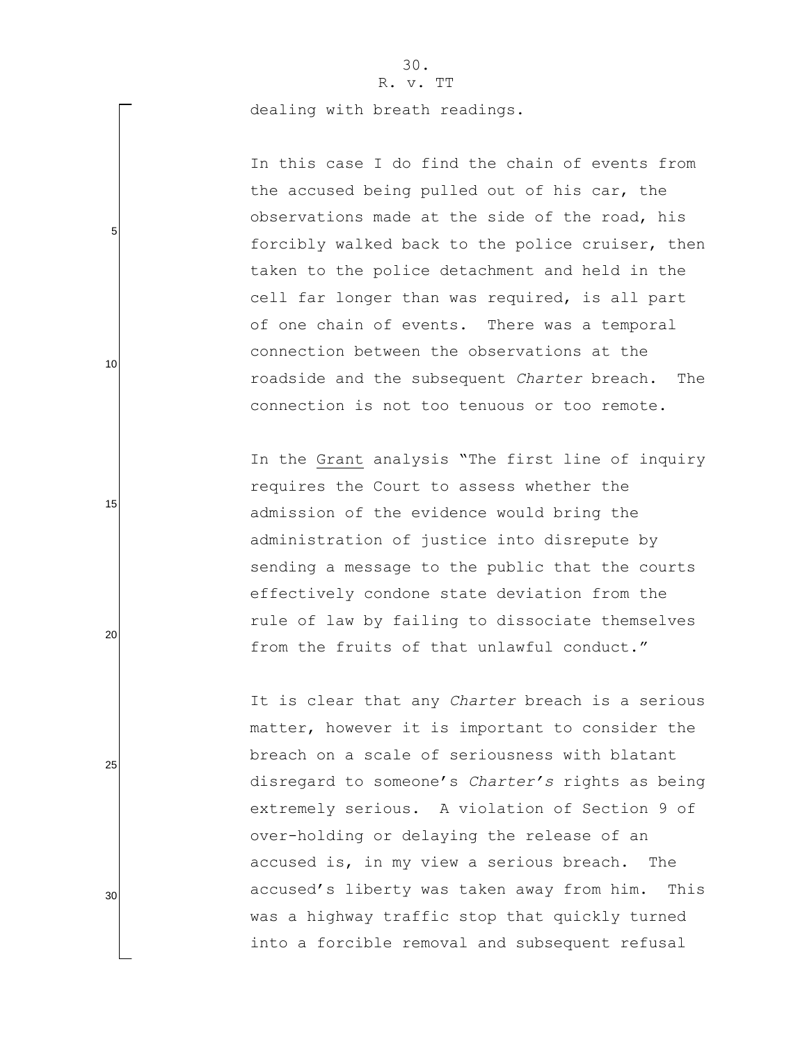# 30.

R. v. TT

dealing with breath readings.

5

10

15

20

25

30

In this case I do find the chain of events from the accused being pulled out of his car, the observations made at the side of the road, his forcibly walked back to the police cruiser, then taken to the police detachment and held in the cell far longer than was required, is all part of one chain of events. There was a temporal connection between the observations at the roadside and the subsequent *Charter* breach. The connection is not too tenuous or too remote.

In the Grant analysis "The first line of inquiry requires the Court to assess whether the admission of the evidence would bring the administration of justice into disrepute by sending a message to the public that the courts effectively condone state deviation from the rule of law by failing to dissociate themselves from the fruits of that unlawful conduct."

It is clear that any *Charter* breach is a serious matter, however it is important to consider the breach on a scale of seriousness with blatant disregard to someone"s *Charter's* rights as being extremely serious. A violation of Section 9 of over-holding or delaying the release of an accused is, in my view a serious breach. The accused"s liberty was taken away from him. This was a highway traffic stop that quickly turned into a forcible removal and subsequent refusal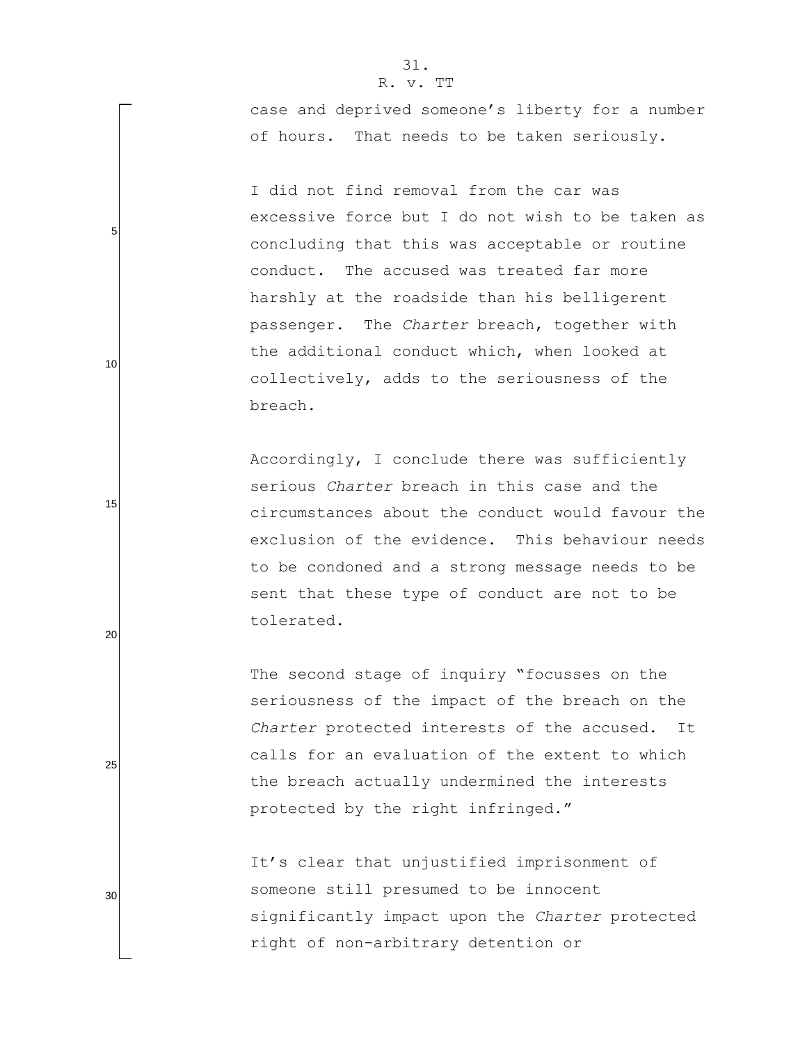5

10

15

20

25

30

case and deprived someone's liberty for a number of hours. That needs to be taken seriously.

I did not find removal from the car was excessive force but I do not wish to be taken as concluding that this was acceptable or routine conduct. The accused was treated far more harshly at the roadside than his belligerent passenger. The *Charter* breach, together with the additional conduct which, when looked at collectively, adds to the seriousness of the breach.

Accordingly, I conclude there was sufficiently serious *Charter* breach in this case and the circumstances about the conduct would favour the exclusion of the evidence. This behaviour needs to be condoned and a strong message needs to be sent that these type of conduct are not to be tolerated.

The second stage of inquiry "focusses on the seriousness of the impact of the breach on the *Charter* protected interests of the accused. It calls for an evaluation of the extent to which the breach actually undermined the interests protected by the right infringed."

It's clear that unjustified imprisonment of someone still presumed to be innocent significantly impact upon the *Charter* protected right of non-arbitrary detention or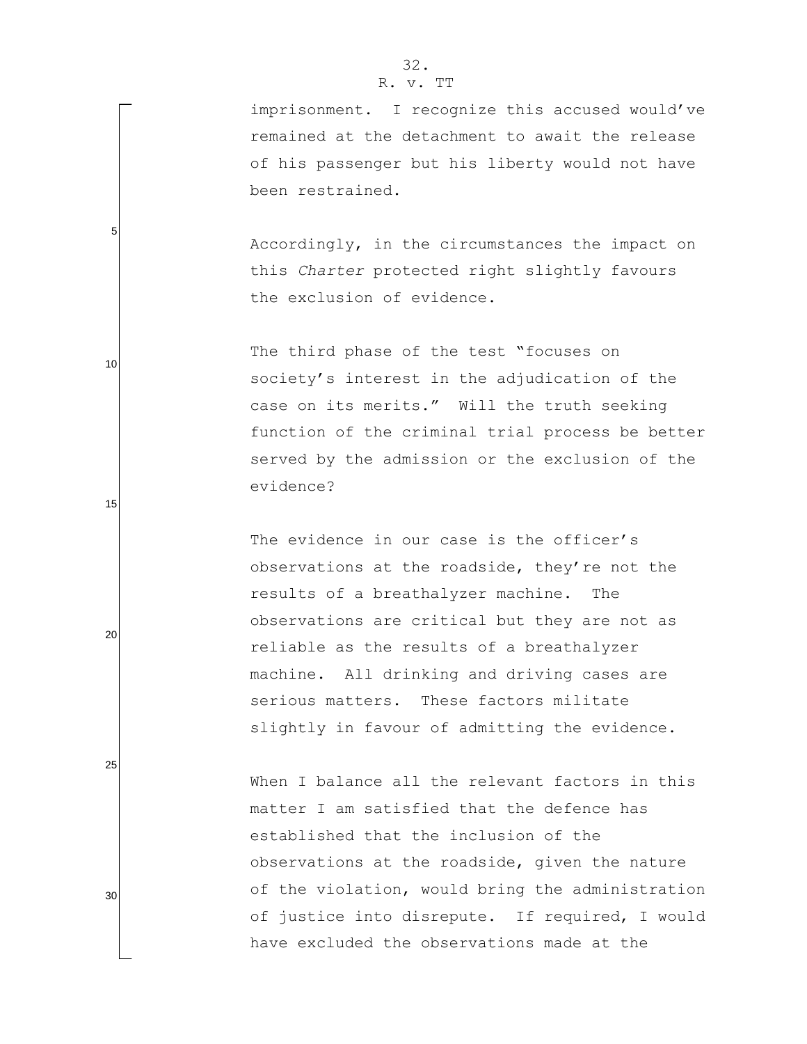# 32.

### R. v. TT

imprisonment. I recognize this accused would've remained at the detachment to await the release of his passenger but his liberty would not have been restrained.

Accordingly, in the circumstances the impact on this *Charter* protected right slightly favours the exclusion of evidence.

The third phase of the test "focuses on society's interest in the adjudication of the case on its merits." Will the truth seeking function of the criminal trial process be better served by the admission or the exclusion of the evidence?

The evidence in our case is the officer's observations at the roadside, they"re not the results of a breathalyzer machine. The observations are critical but they are not as reliable as the results of a breathalyzer machine. All drinking and driving cases are serious matters. These factors militate slightly in favour of admitting the evidence.

When I balance all the relevant factors in this matter I am satisfied that the defence has established that the inclusion of the observations at the roadside, given the nature of the violation, would bring the administration of justice into disrepute. If required, I would have excluded the observations made at the

5

10

15

20

25